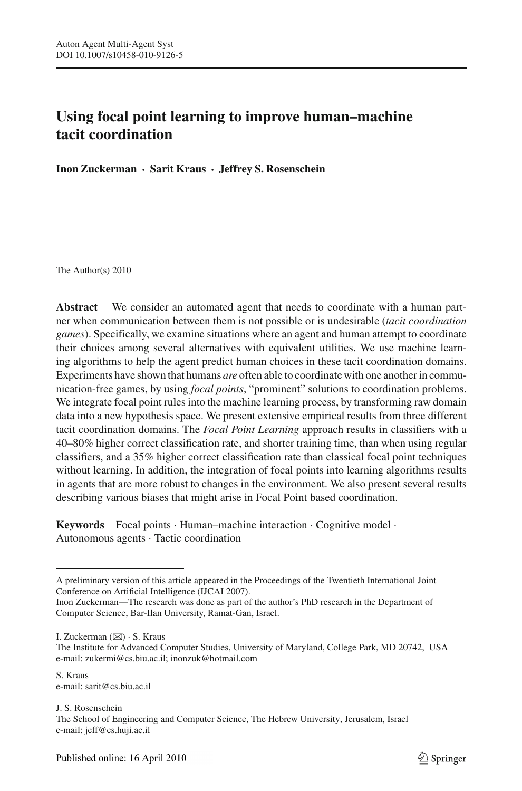# **Using focal point learning to improve human–machine tacit coordination**

**Inon Zuckerman · Sarit Kraus · Jeffrey S. Rosenschein**

The Author(s) 2010

**Abstract** We consider an automated agent that needs to coordinate with a human partner when communication between them is not possible or is undesirable (*tacit coordination games*). Specifically, we examine situations where an agent and human attempt to coordinate their choices among several alternatives with equivalent utilities. We use machine learning algorithms to help the agent predict human choices in these tacit coordination domains. Experiments have shown that humans *are* often able to coordinate with one another in communication-free games, by using *focal points*, "prominent" solutions to coordination problems. We integrate focal point rules into the machine learning process, by transforming raw domain data into a new hypothesis space. We present extensive empirical results from three different tacit coordination domains. The *Focal Point Learning* approach results in classifiers with a 40–80% higher correct classification rate, and shorter training time, than when using regular classifiers, and a 35% higher correct classification rate than classical focal point techniques without learning. In addition, the integration of focal points into learning algorithms results in agents that are more robust to changes in the environment. We also present several results describing various biases that might arise in Focal Point based coordination.

**Keywords** Focal points · Human–machine interaction · Cognitive model · Autonomous agents · Tactic coordination

J. S. Rosenschein The School of Engineering and Computer Science, The Hebrew University, Jerusalem, Israel e-mail: jeff@cs.huji.ac.il

A preliminary version of this article appeared in the Proceedings of the Twentieth International Joint Conference on Artificial Intelligence (IJCAI 2007).

Inon Zuckerman—The research was done as part of the author's PhD research in the Department of Computer Science, Bar-Ilan University, Ramat-Gan, Israel.

I. Zuckerman  $(\boxtimes) \cdot$  S. Kraus

The Institute for Advanced Computer Studies, University of Maryland, College Park, MD 20742, USA e-mail: zukermi@cs.biu.ac.il; inonzuk@hotmail.com

S. Kraus e-mail: sarit@cs.biu.ac.il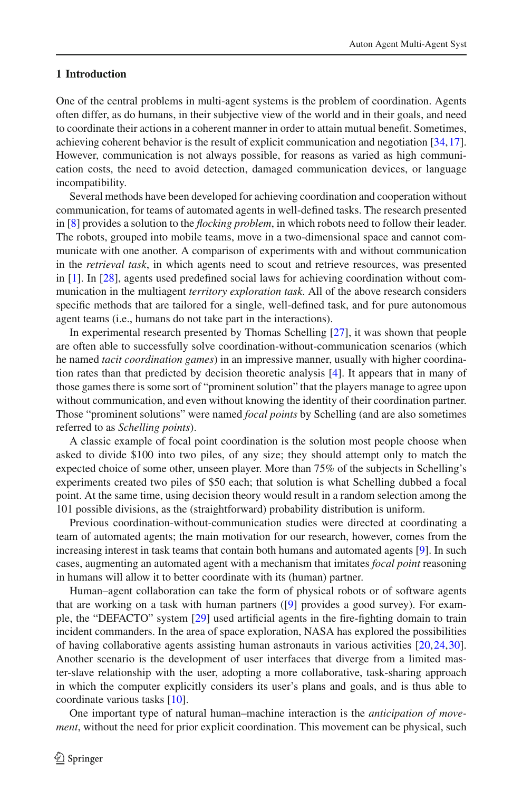## **1 Introduction**

One of the central problems in multi-agent systems is the problem of coordination. Agents often differ, as do humans, in their subjective view of the world and in their goals, and need to coordinate their actions in a coherent manner in order to attain mutual benefit. Sometimes, achieving coherent behavior is the result of explicit communication and negotiation [\[34](#page-27-0)[,17\]](#page-26-0). However, communication is not always possible, for reasons as varied as high communication costs, the need to avoid detection, damaged communication devices, or language incompatibility.

Several methods have been developed for achieving coordination and cooperation without communication, for teams of automated agents in well-defined tasks. The research presented in [\[8](#page-26-1)] provides a solution to the *flocking problem*, in which robots need to follow their leader. The robots, grouped into mobile teams, move in a two-dimensional space and cannot communicate with one another. A comparison of experiments with and without communication in the *retrieval task*, in which agents need to scout and retrieve resources, was presented in [\[1](#page-26-2)]. In [\[28](#page-26-3)], agents used predefined social laws for achieving coordination without communication in the multiagent *territory exploration task*. All of the above research considers specific methods that are tailored for a single, well-defined task, and for pure autonomous agent teams (i.e., humans do not take part in the interactions).

In experimental research presented by Thomas Schelling [\[27](#page-26-4)], it was shown that people are often able to successfully solve coordination-without-communication scenarios (which he named *tacit coordination games*) in an impressive manner, usually with higher coordination rates than that predicted by decision theoretic analysis [\[4\]](#page-26-5). It appears that in many of those games there is some sort of "prominent solution" that the players manage to agree upon without communication, and even without knowing the identity of their coordination partner. Those "prominent solutions" were named *focal points* by Schelling (and are also sometimes referred to as *Schelling points*).

A classic example of focal point coordination is the solution most people choose when asked to divide \$100 into two piles, of any size; they should attempt only to match the expected choice of some other, unseen player. More than 75% of the subjects in Schelling's experiments created two piles of \$50 each; that solution is what Schelling dubbed a focal point. At the same time, using decision theory would result in a random selection among the 101 possible divisions, as the (straightforward) probability distribution is uniform.

Previous coordination-without-communication studies were directed at coordinating a team of automated agents; the main motivation for our research, however, comes from the increasing interest in task teams that contain both humans and automated agents [\[9\]](#page-26-6). In such cases, augmenting an automated agent with a mechanism that imitates *focal point* reasoning in humans will allow it to better coordinate with its (human) partner.

Human–agent collaboration can take the form of physical robots or of software agents that are working on a task with human partners ([\[9](#page-26-6)] provides a good survey). For example, the "DEFACTO" system [\[29\]](#page-26-7) used artificial agents in the fire-fighting domain to train incident commanders. In the area of space exploration, NASA has explored the possibilities of having collaborative agents assisting human astronauts in various activities [\[20](#page-26-8)[,24](#page-26-9)[,30\]](#page-27-1). Another scenario is the development of user interfaces that diverge from a limited master-slave relationship with the user, adopting a more collaborative, task-sharing approach in which the computer explicitly considers its user's plans and goals, and is thus able to coordinate various tasks [\[10](#page-26-10)].

One important type of natural human–machine interaction is the *anticipation of movement*, without the need for prior explicit coordination. This movement can be physical, such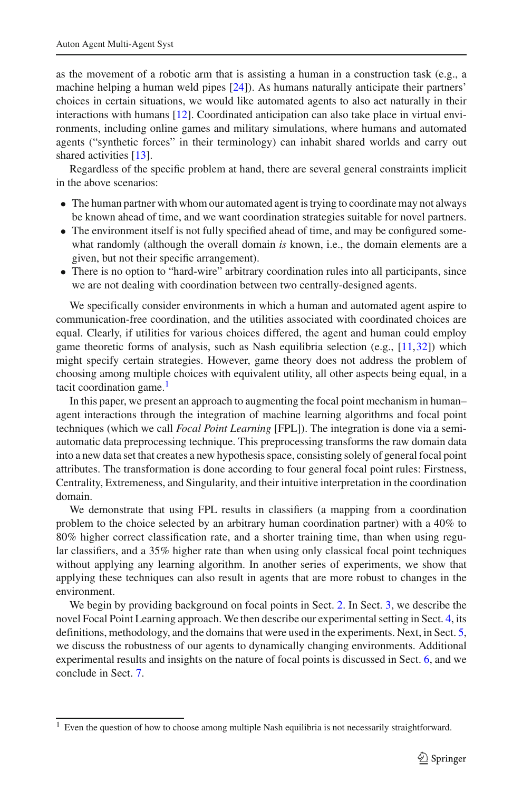as the movement of a robotic arm that is assisting a human in a construction task (e.g., a machine helping a human weld pipes [\[24\]](#page-26-9)). As humans naturally anticipate their partners' choices in certain situations, we would like automated agents to also act naturally in their interactions with humans [\[12\]](#page-26-11). Coordinated anticipation can also take place in virtual environments, including online games and military simulations, where humans and automated agents ("synthetic forces" in their terminology) can inhabit shared worlds and carry out shared activities [\[13](#page-26-12)].

Regardless of the specific problem at hand, there are several general constraints implicit in the above scenarios:

- The human partner with whom our automated agent is trying to coordinate may not always be known ahead of time, and we want coordination strategies suitable for novel partners.
- The environment itself is not fully specified ahead of time, and may be configured somewhat randomly (although the overall domain *is* known, i.e., the domain elements are a given, but not their specific arrangement).
- There is no option to "hard-wire" arbitrary coordination rules into all participants, since we are not dealing with coordination between two centrally-designed agents.

We specifically consider environments in which a human and automated agent aspire to communication-free coordination, and the utilities associated with coordinated choices are equal. Clearly, if utilities for various choices differed, the agent and human could employ game theoretic forms of analysis, such as Nash equilibria selection (e.g., [\[11,](#page-26-13)[32](#page-27-2)]) which might specify certain strategies. However, game theory does not address the problem of choosing among multiple choices with equivalent utility, all other aspects being equal, in a tacit coordination game. $<sup>1</sup>$ </sup>

In this paper, we present an approach to augmenting the focal point mechanism in human– agent interactions through the integration of machine learning algorithms and focal point techniques (which we call *Focal Point Learning* [FPL]). The integration is done via a semiautomatic data preprocessing technique. This preprocessing transforms the raw domain data into a new data set that creates a new hypothesis space, consisting solely of general focal point attributes. The transformation is done according to four general focal point rules: Firstness, Centrality, Extremeness, and Singularity, and their intuitive interpretation in the coordination domain.

We demonstrate that using FPL results in classifiers (a mapping from a coordination problem to the choice selected by an arbitrary human coordination partner) with a 40% to 80% higher correct classification rate, and a shorter training time, than when using regular classifiers, and a 35% higher rate than when using only classical focal point techniques without applying any learning algorithm. In another series of experiments, we show that applying these techniques can also result in agents that are more robust to changes in the environment.

We begin by providing background on focal points in Sect. [2.](#page-3-0) In Sect. [3,](#page-7-0) we describe the novel Focal Point Learning approach. We then describe our experimental setting in Sect. [4,](#page-9-0) its definitions, methodology, and the domains that were used in the experiments. Next, in Sect. [5,](#page-19-0) we discuss the robustness of our agents to dynamically changing environments. Additional experimental results and insights on the nature of focal points is discussed in Sect. [6,](#page-20-0) and we conclude in Sect. [7.](#page-24-0)

<span id="page-2-0"></span><sup>&</sup>lt;sup>1</sup> Even the question of how to choose among multiple Nash equilibria is not necessarily straightforward.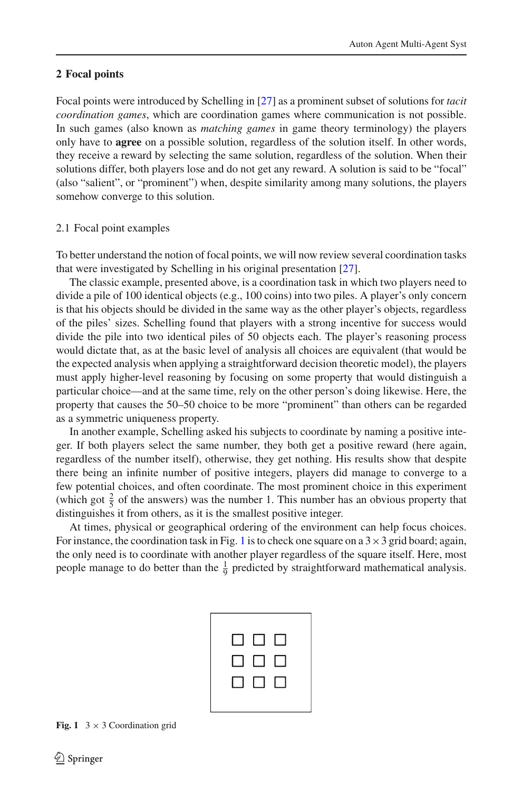## <span id="page-3-0"></span>**2 Focal points**

Focal points were introduced by Schelling in [\[27](#page-26-4)] as a prominent subset of solutions for *tacit coordination games*, which are coordination games where communication is not possible. In such games (also known as *matching games* in game theory terminology) the players only have to **agree** on a possible solution, regardless of the solution itself. In other words, they receive a reward by selecting the same solution, regardless of the solution. When their solutions differ, both players lose and do not get any reward. A solution is said to be "focal" (also "salient", or "prominent") when, despite similarity among many solutions, the players somehow converge to this solution.

## <span id="page-3-2"></span>2.1 Focal point examples

To better understand the notion of focal points, we will now review several coordination tasks that were investigated by Schelling in his original presentation [\[27](#page-26-4)].

The classic example, presented above, is a coordination task in which two players need to divide a pile of 100 identical objects (e.g., 100 coins) into two piles. A player's only concern is that his objects should be divided in the same way as the other player's objects, regardless of the piles' sizes. Schelling found that players with a strong incentive for success would divide the pile into two identical piles of 50 objects each. The player's reasoning process would dictate that, as at the basic level of analysis all choices are equivalent (that would be the expected analysis when applying a straightforward decision theoretic model), the players must apply higher-level reasoning by focusing on some property that would distinguish a particular choice—and at the same time, rely on the other person's doing likewise. Here, the property that causes the 50–50 choice to be more "prominent" than others can be regarded as a symmetric uniqueness property.

In another example, Schelling asked his subjects to coordinate by naming a positive integer. If both players select the same number, they both get a positive reward (here again, regardless of the number itself), otherwise, they get nothing. His results show that despite there being an infinite number of positive integers, players did manage to converge to a few potential choices, and often coordinate. The most prominent choice in this experiment (which got  $\frac{2}{5}$  of the answers) was the number 1. This number has an obvious property that distinguishes it from others, as it is the smallest positive integer.

At times, physical or geographical ordering of the environment can help focus choices. For instance, the coordination task in Fig. [1](#page-3-1) is to check one square on a  $3 \times 3$  grid board; again, the only need is to coordinate with another player regardless of the square itself. Here, most people manage to do better than the  $\frac{1}{9}$  predicted by straightforward mathematical analysis.



<span id="page-3-1"></span>**Fig. 1**  $3 \times 3$  Coordination grid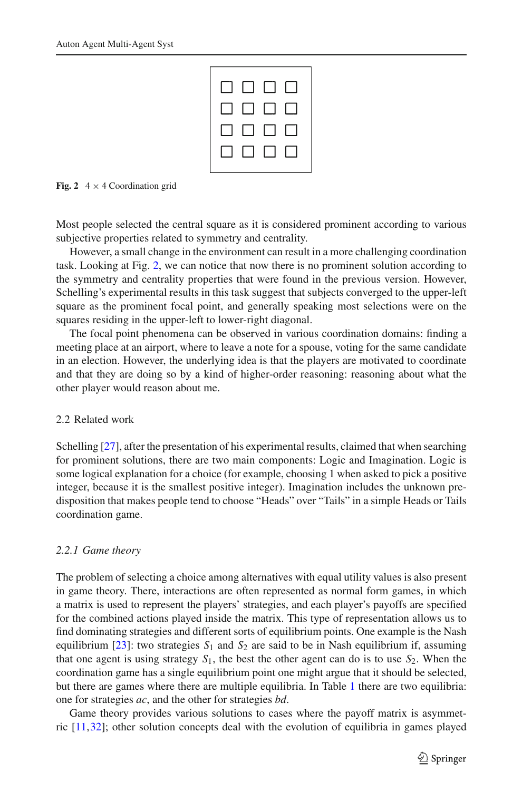

<span id="page-4-0"></span>**Fig. 2**  $4 \times 4$  Coordination grid

Most people selected the central square as it is considered prominent according to various subjective properties related to symmetry and centrality.

However, a small change in the environment can result in a more challenging coordination task. Looking at Fig. [2,](#page-4-0) we can notice that now there is no prominent solution according to the symmetry and centrality properties that were found in the previous version. However, Schelling's experimental results in this task suggest that subjects converged to the upper-left square as the prominent focal point, and generally speaking most selections were on the squares residing in the upper-left to lower-right diagonal.

The focal point phenomena can be observed in various coordination domains: finding a meeting place at an airport, where to leave a note for a spouse, voting for the same candidate in an election. However, the underlying idea is that the players are motivated to coordinate and that they are doing so by a kind of higher-order reasoning: reasoning about what the other player would reason about me.

## 2.2 Related work

Schelling [\[27](#page-26-4)], after the presentation of his experimental results, claimed that when searching for prominent solutions, there are two main components: Logic and Imagination. Logic is some logical explanation for a choice (for example, choosing 1 when asked to pick a positive integer, because it is the smallest positive integer). Imagination includes the unknown predisposition that makes people tend to choose "Heads" over "Tails" in a simple Heads or Tails coordination game.

## *2.2.1 Game theory*

The problem of selecting a choice among alternatives with equal utility values is also present in game theory. There, interactions are often represented as normal form games, in which a matrix is used to represent the players' strategies, and each player's payoffs are specified for the combined actions played inside the matrix. This type of representation allows us to find dominating strategies and different sorts of equilibrium points. One example is the Nash equilibrium [\[23\]](#page-26-14): two strategies  $S_1$  and  $S_2$  are said to be in Nash equilibrium if, assuming that one agent is using strategy  $S_1$ , the best the other agent can do is to use  $S_2$ . When the coordination game has a single equilibrium point one might argue that it should be selected, but there are games where there are multiple equilibria. In Table [1](#page-5-0) there are two equilibria: one for strategies *ac*, and the other for strategies *bd*.

Game theory provides various solutions to cases where the payoff matrix is asymmetric [\[11](#page-26-13)[,32\]](#page-27-2); other solution concepts deal with the evolution of equilibria in games played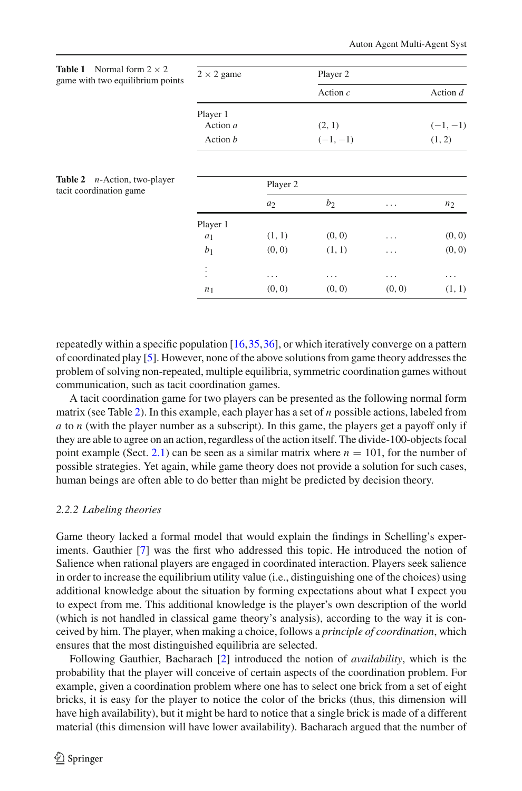<span id="page-5-1"></span><span id="page-5-0"></span>

| Normal form $2 \times 2$<br>Table 1<br>game with two equilibrium points | $2 \times 2$ game                 |          | Player 2       |        |            |
|-------------------------------------------------------------------------|-----------------------------------|----------|----------------|--------|------------|
|                                                                         |                                   |          | Action $c$     |        | Action $d$ |
|                                                                         | Player 1<br>Action $a$            |          | (2, 1)         |        | $(-1,-1)$  |
|                                                                         | Action <i>b</i>                   |          | $(-1, -1)$     |        | (1, 2)     |
| <b>Table 2</b> $n$ -Action, two-player<br>tacit coordination game       |                                   | Player 2 |                |        |            |
|                                                                         |                                   | $a_2$    | b <sub>2</sub> | .      | $n_2$      |
|                                                                         | Player 1                          |          |                |        |            |
|                                                                         | $a_1$                             | (1, 1)   | (0, 0)         | .      | (0, 0)     |
|                                                                         | b <sub>1</sub>                    | (0, 0)   | (1, 1)         | .      | (0, 0)     |
|                                                                         | $\bullet$<br>$\ddot{\phantom{0}}$ | .        | .              | .      |            |
|                                                                         | n <sub>1</sub>                    | (0, 0)   | (0, 0)         | (0, 0) | (1, 1)     |

repeatedly within a specific population  $[16,35,36]$  $[16,35,36]$  $[16,35,36]$  $[16,35,36]$ , or which iteratively converge on a pattern of coordinated play [\[5\]](#page-26-16). However, none of the above solutions from game theory addresses the problem of solving non-repeated, multiple equilibria, symmetric coordination games without communication, such as tacit coordination games.

A tacit coordination game for two players can be presented as the following normal form matrix (see Table [2\)](#page-5-1). In this example, each player has a set of *n* possible actions, labeled from *a* to *n* (with the player number as a subscript). In this game, the players get a payoff only if they are able to agree on an action, regardless of the action itself. The divide-100-objects focal point example (Sect. [2.1\)](#page-3-2) can be seen as a similar matrix where  $n = 101$ , for the number of possible strategies. Yet again, while game theory does not provide a solution for such cases, human beings are often able to do better than might be predicted by decision theory.

## *2.2.2 Labeling theories*

Game theory lacked a formal model that would explain the findings in Schelling's experiments. Gauthier [\[7\]](#page-26-17) was the first who addressed this topic. He introduced the notion of Salience when rational players are engaged in coordinated interaction. Players seek salience in order to increase the equilibrium utility value (i.e., distinguishing one of the choices) using additional knowledge about the situation by forming expectations about what I expect you to expect from me. This additional knowledge is the player's own description of the world (which is not handled in classical game theory's analysis), according to the way it is conceived by him. The player, when making a choice, follows a *principle of coordination*, which ensures that the most distinguished equilibria are selected.

Following Gauthier, Bacharach [\[2\]](#page-26-18) introduced the notion of *availability*, which is the probability that the player will conceive of certain aspects of the coordination problem. For example, given a coordination problem where one has to select one brick from a set of eight bricks, it is easy for the player to notice the color of the bricks (thus, this dimension will have high availability), but it might be hard to notice that a single brick is made of a different material (this dimension will have lower availability). Bacharach argued that the number of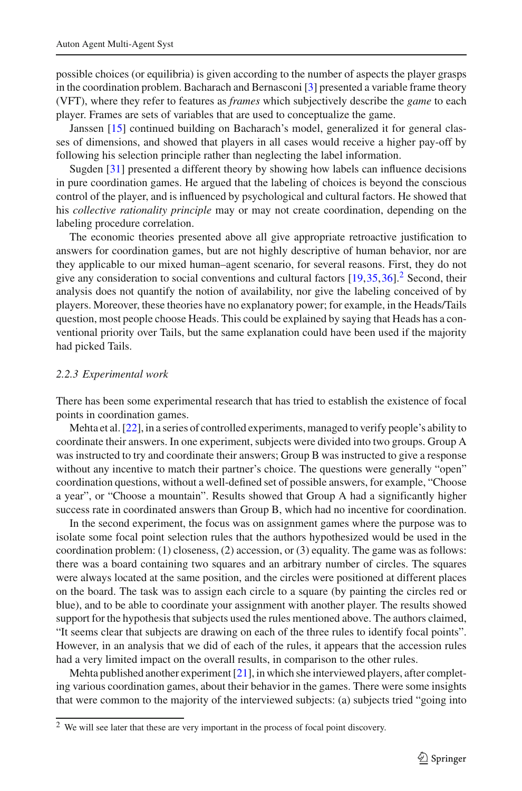possible choices (or equilibria) is given according to the number of aspects the player grasps in the coordination problem. Bacharach and Bernasconi [\[3](#page-26-19)] presented a variable frame theory (VFT), where they refer to features as *frames* which subjectively describe the *game* to each player. Frames are sets of variables that are used to conceptualize the game.

Janssen [\[15](#page-26-20)] continued building on Bacharach's model, generalized it for general classes of dimensions, and showed that players in all cases would receive a higher pay-off by following his selection principle rather than neglecting the label information.

Sugden [\[31](#page-27-5)] presented a different theory by showing how labels can influence decisions in pure coordination games. He argued that the labeling of choices is beyond the conscious control of the player, and is influenced by psychological and cultural factors. He showed that his *collective rationality principle* may or may not create coordination, depending on the labeling procedure correlation.

The economic theories presented above all give appropriate retroactive justification to answers for coordination games, but are not highly descriptive of human behavior, nor are they applicable to our mixed human–agent scenario, for several reasons. First, they do not give any consideration to social conventions and cultural factors [\[19,](#page-26-21)[35](#page-27-3)[,36\]](#page-27-4).<sup>2</sup> Second, their analysis does not quantify the notion of availability, nor give the labeling conceived of by players. Moreover, these theories have no explanatory power; for example, in the Heads/Tails question, most people choose Heads. This could be explained by saying that Heads has a conventional priority over Tails, but the same explanation could have been used if the majority had picked Tails.

#### *2.2.3 Experimental work*

There has been some experimental research that has tried to establish the existence of focal points in coordination games.

Mehta et al. [\[22\]](#page-26-22), in a series of controlled experiments, managed to verify people's ability to coordinate their answers. In one experiment, subjects were divided into two groups. Group A was instructed to try and coordinate their answers; Group B was instructed to give a response without any incentive to match their partner's choice. The questions were generally "open" coordination questions, without a well-defined set of possible answers, for example, "Choose a year", or "Choose a mountain". Results showed that Group A had a significantly higher success rate in coordinated answers than Group B, which had no incentive for coordination.

In the second experiment, the focus was on assignment games where the purpose was to isolate some focal point selection rules that the authors hypothesized would be used in the coordination problem: (1) closeness, (2) accession, or (3) equality. The game was as follows: there was a board containing two squares and an arbitrary number of circles. The squares were always located at the same position, and the circles were positioned at different places on the board. The task was to assign each circle to a square (by painting the circles red or blue), and to be able to coordinate your assignment with another player. The results showed support for the hypothesis that subjects used the rules mentioned above. The authors claimed, "It seems clear that subjects are drawing on each of the three rules to identify focal points". However, in an analysis that we did of each of the rules, it appears that the accession rules had a very limited impact on the overall results, in comparison to the other rules.

Mehta published another experiment [\[21\]](#page-26-23), in which she interviewed players, after completing various coordination games, about their behavior in the games. There were some insights that were common to the majority of the interviewed subjects: (a) subjects tried "going into

<span id="page-6-0"></span><sup>2</sup> We will see later that these are very important in the process of focal point discovery.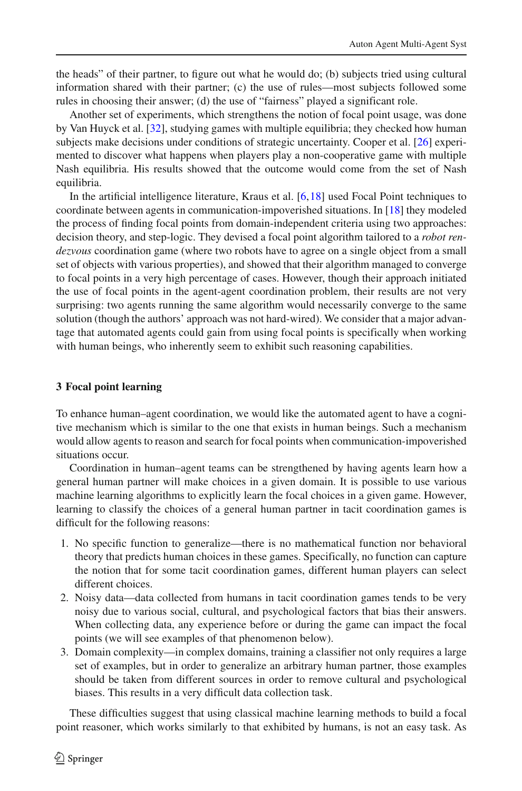the heads" of their partner, to figure out what he would do; (b) subjects tried using cultural information shared with their partner; (c) the use of rules—most subjects followed some rules in choosing their answer; (d) the use of "fairness" played a significant role.

Another set of experiments, which strengthens the notion of focal point usage, was done by Van Huyck et al. [\[32\]](#page-27-2), studying games with multiple equilibria; they checked how human subjects make decisions under conditions of strategic uncertainty. Cooper et al. [\[26\]](#page-26-24) experimented to discover what happens when players play a non-cooperative game with multiple Nash equilibria. His results showed that the outcome would come from the set of Nash equilibria.

In the artificial intelligence literature, Kraus et al. [\[6](#page-26-25)[,18\]](#page-26-26) used Focal Point techniques to coordinate between agents in communication-impoverished situations. In [\[18](#page-26-26)] they modeled the process of finding focal points from domain-independent criteria using two approaches: decision theory, and step-logic. They devised a focal point algorithm tailored to a *robot rendezvous* coordination game (where two robots have to agree on a single object from a small set of objects with various properties), and showed that their algorithm managed to converge to focal points in a very high percentage of cases. However, though their approach initiated the use of focal points in the agent-agent coordination problem, their results are not very surprising: two agents running the same algorithm would necessarily converge to the same solution (though the authors' approach was not hard-wired). We consider that a major advantage that automated agents could gain from using focal points is specifically when working with human beings, who inherently seem to exhibit such reasoning capabilities.

## <span id="page-7-0"></span>**3 Focal point learning**

To enhance human–agent coordination, we would like the automated agent to have a cognitive mechanism which is similar to the one that exists in human beings. Such a mechanism would allow agents to reason and search for focal points when communication-impoverished situations occur.

Coordination in human–agent teams can be strengthened by having agents learn how a general human partner will make choices in a given domain. It is possible to use various machine learning algorithms to explicitly learn the focal choices in a given game. However, learning to classify the choices of a general human partner in tacit coordination games is difficult for the following reasons:

- 1. No specific function to generalize—there is no mathematical function nor behavioral theory that predicts human choices in these games. Specifically, no function can capture the notion that for some tacit coordination games, different human players can select different choices.
- 2. Noisy data—data collected from humans in tacit coordination games tends to be very noisy due to various social, cultural, and psychological factors that bias their answers. When collecting data, any experience before or during the game can impact the focal points (we will see examples of that phenomenon below).
- 3. Domain complexity—in complex domains, training a classifier not only requires a large set of examples, but in order to generalize an arbitrary human partner, those examples should be taken from different sources in order to remove cultural and psychological biases. This results in a very difficult data collection task.

These difficulties suggest that using classical machine learning methods to build a focal point reasoner, which works similarly to that exhibited by humans, is not an easy task. As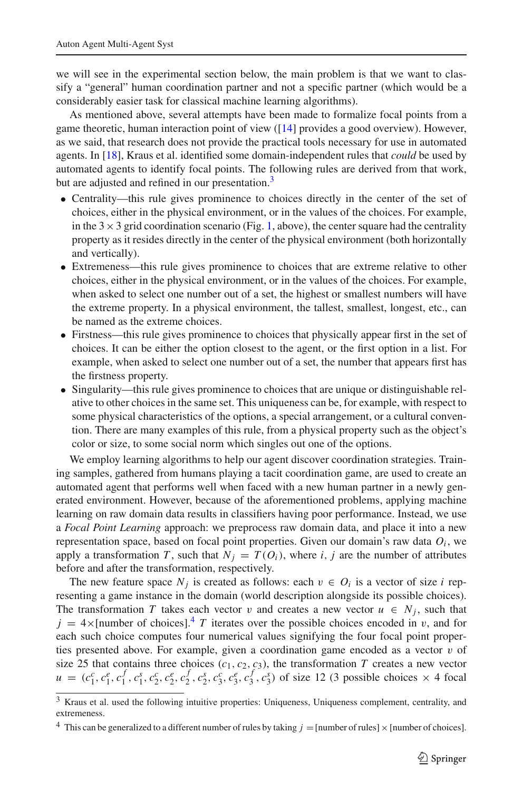we will see in the experimental section below, the main problem is that we want to classify a "general" human coordination partner and not a specific partner (which would be a considerably easier task for classical machine learning algorithms).

As mentioned above, several attempts have been made to formalize focal points from a game theoretic, human interaction point of view ([\[14\]](#page-26-27) provides a good overview). However, as we said, that research does not provide the practical tools necessary for use in automated agents. In [\[18\]](#page-26-26), Kraus et al. identified some domain-independent rules that *could* be used by automated agents to identify focal points. The following rules are derived from that work, but are adjusted and refined in our presentation.<sup>[3](#page-8-0)</sup>

- Centrality—this rule gives prominence to choices directly in the center of the set of choices, either in the physical environment, or in the values of the choices. For example, in the  $3 \times 3$  grid coordination scenario (Fig. [1,](#page-3-1) above), the center square had the centrality property as it resides directly in the center of the physical environment (both horizontally and vertically).
- Extremeness—this rule gives prominence to choices that are extreme relative to other choices, either in the physical environment, or in the values of the choices. For example, when asked to select one number out of a set, the highest or smallest numbers will have the extreme property. In a physical environment, the tallest, smallest, longest, etc., can be named as the extreme choices.
- Firstness—this rule gives prominence to choices that physically appear first in the set of choices. It can be either the option closest to the agent, or the first option in a list. For example, when asked to select one number out of a set, the number that appears first has the firstness property.
- Singularity—this rule gives prominence to choices that are unique or distinguishable relative to other choices in the same set. This uniqueness can be, for example, with respect to some physical characteristics of the options, a special arrangement, or a cultural convention. There are many examples of this rule, from a physical property such as the object's color or size, to some social norm which singles out one of the options.

We employ learning algorithms to help our agent discover coordination strategies. Training samples, gathered from humans playing a tacit coordination game, are used to create an automated agent that performs well when faced with a new human partner in a newly generated environment. However, because of the aforementioned problems, applying machine learning on raw domain data results in classifiers having poor performance. Instead, we use a *Focal Point Learning* approach: we preprocess raw domain data, and place it into a new representation space, based on focal point properties. Given our domain's raw data  $O_i$ , we apply a transformation *T*, such that  $N_i = T(O_i)$ , where *i*, *j* are the number of attributes before and after the transformation, respectively.

The new feature space  $N_i$  is created as follows: each  $v \in O_i$  is a vector of size *i* representing a game instance in the domain (world description alongside its possible choices). The transformation *T* takes each vector v and creates a new vector  $u \in N_i$ , such that  $j = 4 \times$  $j = 4 \times$  $j = 4 \times$ [number of choices].<sup>4</sup> *T* iterates over the possible choices encoded in v, and for each such choice computes four numerical values signifying the four focal point properties presented above. For example, given a coordination game encoded as a vector  $v$  of size 25 that contains three choices  $(c_1, c_2, c_3)$ , the transformation *T* creates a new vector  $u = (c_1^c, c_1^e, c_1^f, c_1^s, c_2^c, c_2^e, c_2^f, c_2^s, c_3^e, c_3^e, c_3^f, c_3^s)$  of size 12 (3 possible choices  $\times$  4 focal

<sup>3</sup> Kraus et al. used the following intuitive properties: Uniqueness, Uniqueness complement, centrality, and extremeness.

<span id="page-8-1"></span><span id="page-8-0"></span><sup>&</sup>lt;sup>4</sup> This can be generalized to a different number of rules by taking  $j =$  [number of rules]  $\times$  [number of choices].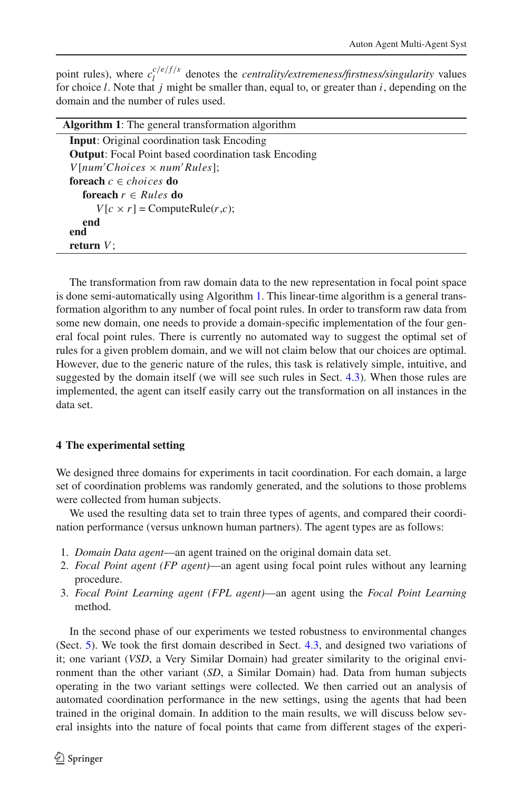point rules), where  $c_l^{c/e/f/s}$  denotes the *centrality/extremeness/firstness/singularity* values for choice *l*. Note that *j* might be smaller than, equal to, or greater than *i*, depending on the domain and the number of rules used.

<span id="page-9-1"></span>

| <b>Algorithm 1:</b> The general transformation algorithm    |
|-------------------------------------------------------------|
| <b>Input:</b> Original coordination task Encoding           |
| <b>Output:</b> Focal Point based coordination task Encoding |
| V[num'Choice x num' Rules];                                 |
| <b>foreach</b> $c \in choice$ <b>s</b> do                   |
| foreach $r \in Rules$ do                                    |
| $V[c \times r]$ = ComputeRule( <i>r</i> , <i>c</i> );       |
| end<br>end                                                  |
|                                                             |
| return $V$ :                                                |
|                                                             |

The transformation from raw domain data to the new representation in focal point space is done semi-automatically using Algorithm [1.](#page-9-1) This linear-time algorithm is a general transformation algorithm to any number of focal point rules. In order to transform raw data from some new domain, one needs to provide a domain-specific implementation of the four general focal point rules. There is currently no automated way to suggest the optimal set of rules for a given problem domain, and we will not claim below that our choices are optimal. However, due to the generic nature of the rules, this task is relatively simple, intuitive, and suggested by the domain itself (we will see such rules in Sect. [4.3\)](#page-13-0). When those rules are implemented, the agent can itself easily carry out the transformation on all instances in the data set.

# <span id="page-9-0"></span>**4 The experimental setting**

We designed three domains for experiments in tacit coordination. For each domain, a large set of coordination problems was randomly generated, and the solutions to those problems were collected from human subjects.

We used the resulting data set to train three types of agents, and compared their coordination performance (versus unknown human partners). The agent types are as follows:

- 1. *Domain Data agent*—an agent trained on the original domain data set.
- 2. *Focal Point agent (FP agent)*—an agent using focal point rules without any learning procedure.
- 3. *Focal Point Learning agent (FPL agent)*—an agent using the *Focal Point Learning* method.

In the second phase of our experiments we tested robustness to environmental changes (Sect. [5\)](#page-19-0). We took the first domain described in Sect. [4.3,](#page-13-0) and designed two variations of it; one variant (*VSD*, a Very Similar Domain) had greater similarity to the original environment than the other variant (*SD*, a Similar Domain) had. Data from human subjects operating in the two variant settings were collected. We then carried out an analysis of automated coordination performance in the new settings, using the agents that had been trained in the original domain. In addition to the main results, we will discuss below several insights into the nature of focal points that came from different stages of the experi-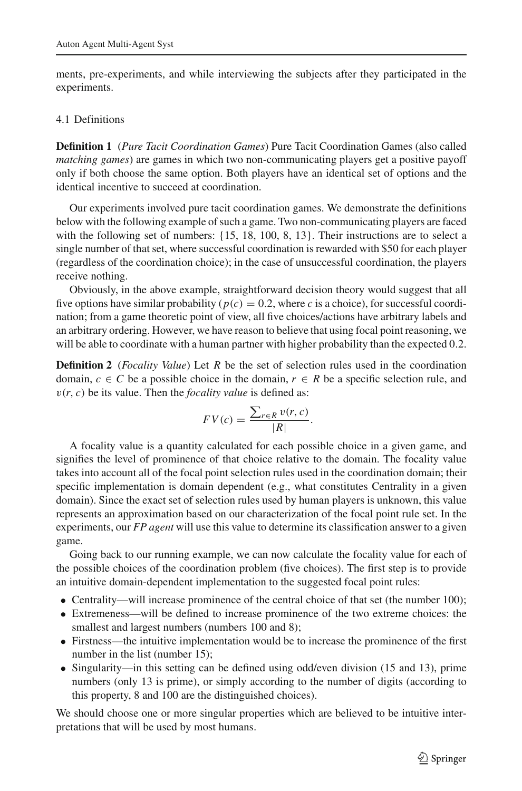ments, pre-experiments, and while interviewing the subjects after they participated in the experiments.

## 4.1 Definitions

**Definition 1** (*Pure Tacit Coordination Games*) Pure Tacit Coordination Games (also called *matching games*) are games in which two non-communicating players get a positive payoff only if both choose the same option. Both players have an identical set of options and the identical incentive to succeed at coordination.

Our experiments involved pure tacit coordination games. We demonstrate the definitions below with the following example of such a game. Two non-communicating players are faced with the following set of numbers:  $\{15, 18, 100, 8, 13\}$ . Their instructions are to select a single number of that set, where successful coordination is rewarded with \$50 for each player (regardless of the coordination choice); in the case of unsuccessful coordination, the players receive nothing.

Obviously, in the above example, straightforward decision theory would suggest that all five options have similar probability ( $p(c) = 0.2$ , where *c* is a choice), for successful coordination; from a game theoretic point of view, all five choices/actions have arbitrary labels and an arbitrary ordering. However, we have reason to believe that using focal point reasoning, we will be able to coordinate with a human partner with higher probability than the expected 0.2.

**Definition 2** (*Focality Value*) Let *R* be the set of selection rules used in the coordination domain,  $c \in C$  be a possible choice in the domain,  $r \in R$  be a specific selection rule, and  $v(r, c)$  be its value. Then the *focality value* is defined as:

$$
FV(c) = \frac{\sum_{r \in R} v(r, c)}{|R|}.
$$

A focality value is a quantity calculated for each possible choice in a given game, and signifies the level of prominence of that choice relative to the domain. The focality value takes into account all of the focal point selection rules used in the coordination domain; their specific implementation is domain dependent (e.g., what constitutes Centrality in a given domain). Since the exact set of selection rules used by human players is unknown, this value represents an approximation based on our characterization of the focal point rule set. In the experiments, our *FP agent* will use this value to determine its classification answer to a given game.

Going back to our running example, we can now calculate the focality value for each of the possible choices of the coordination problem (five choices). The first step is to provide an intuitive domain-dependent implementation to the suggested focal point rules:

- Centrality—will increase prominence of the central choice of that set (the number 100);
- Extremeness—will be defined to increase prominence of the two extreme choices: the smallest and largest numbers (numbers 100 and 8);
- Firstness—the intuitive implementation would be to increase the prominence of the first number in the list (number 15);
- Singularity—in this setting can be defined using odd/even division (15 and 13), prime numbers (only 13 is prime), or simply according to the number of digits (according to this property, 8 and 100 are the distinguished choices).

We should choose one or more singular properties which are believed to be intuitive interpretations that will be used by most humans.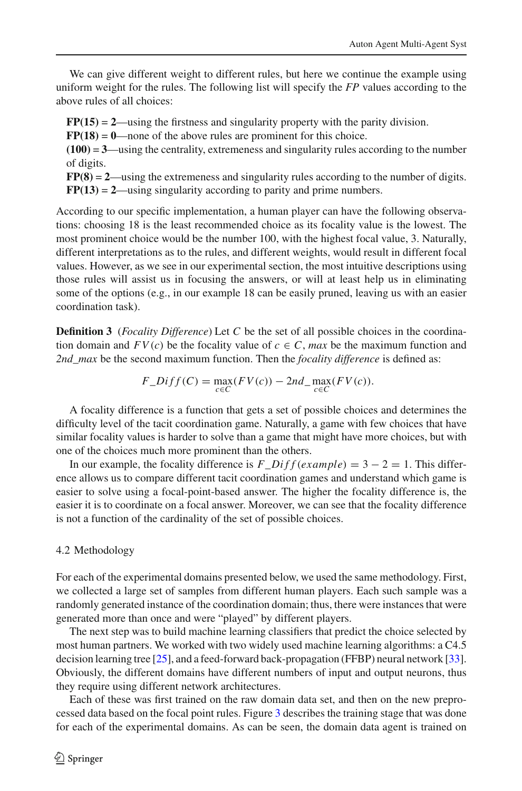We can give different weight to different rules, but here we continue the example using uniform weight for the rules. The following list will specify the *FP* values according to the above rules of all choices:

**—using the firstness and singularity property with the parity division.** 

**—none of the above rules are prominent for this choice.** 

**(100)** = **3**—using the centrality, extremeness and singularity rules according to the number of digits.

**—using the extremeness and singularity rules according to the number of digits.**  $FP(13) = 2$ —using singularity according to parity and prime numbers.

According to our specific implementation, a human player can have the following observations: choosing 18 is the least recommended choice as its focality value is the lowest. The most prominent choice would be the number 100, with the highest focal value, 3. Naturally, different interpretations as to the rules, and different weights, would result in different focal values. However, as we see in our experimental section, the most intuitive descriptions using those rules will assist us in focusing the answers, or will at least help us in eliminating some of the options (e.g., in our example 18 can be easily pruned, leaving us with an easier coordination task).

**Definition 3** (*Focality Difference*) Let *C* be the set of all possible choices in the coordination domain and  $FV(c)$  be the focality value of  $c \in C$ , *max* be the maximum function and *2nd\_max* be the second maximum function. Then the *focality difference* is defined as:

$$
F\_Diff(C) = \max_{c \in C} (FV(c)) - 2nd_{\text{max}} (FV(c)).
$$

A focality difference is a function that gets a set of possible choices and determines the difficulty level of the tacit coordination game. Naturally, a game with few choices that have similar focality values is harder to solve than a game that might have more choices, but with one of the choices much more prominent than the others.

In our example, the focality difference is  $F_Diff$  (*example*) = 3 – 2 = 1. This difference allows us to compare different tacit coordination games and understand which game is easier to solve using a focal-point-based answer. The higher the focality difference is, the easier it is to coordinate on a focal answer. Moreover, we can see that the focality difference is not a function of the cardinality of the set of possible choices.

# 4.2 Methodology

For each of the experimental domains presented below, we used the same methodology. First, we collected a large set of samples from different human players. Each such sample was a randomly generated instance of the coordination domain; thus, there were instances that were generated more than once and were "played" by different players.

The next step was to build machine learning classifiers that predict the choice selected by most human partners. We worked with two widely used machine learning algorithms: a C4.5 decision learning tree [\[25](#page-26-28)], and a feed-forward back-propagation (FFBP) neural network [\[33](#page-27-6)]. Obviously, the different domains have different numbers of input and output neurons, thus they require using different network architectures.

Each of these was first trained on the raw domain data set, and then on the new preprocessed data based on the focal point rules. Figure [3](#page-12-0) describes the training stage that was done for each of the experimental domains. As can be seen, the domain data agent is trained on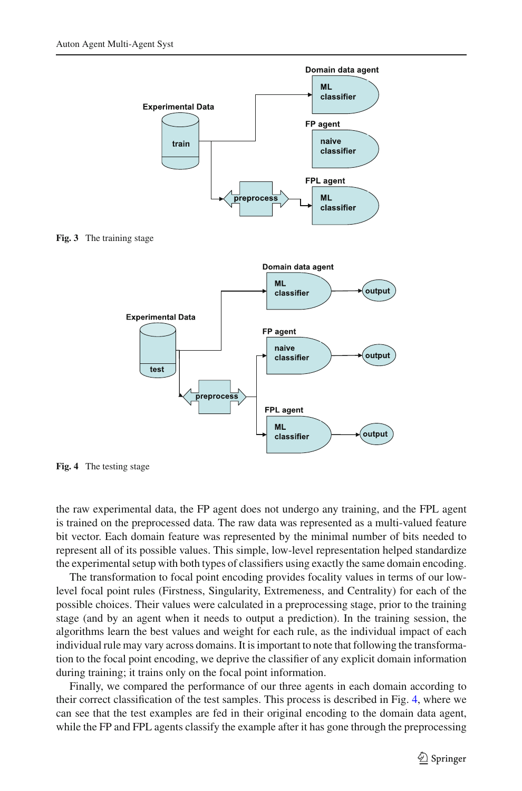<span id="page-12-0"></span>

<span id="page-12-1"></span>**Fig. 4** The testing stage

the raw experimental data, the FP agent does not undergo any training, and the FPL agent is trained on the preprocessed data. The raw data was represented as a multi-valued feature bit vector. Each domain feature was represented by the minimal number of bits needed to represent all of its possible values. This simple, low-level representation helped standardize the experimental setup with both types of classifiers using exactly the same domain encoding.

The transformation to focal point encoding provides focality values in terms of our lowlevel focal point rules (Firstness, Singularity, Extremeness, and Centrality) for each of the possible choices. Their values were calculated in a preprocessing stage, prior to the training stage (and by an agent when it needs to output a prediction). In the training session, the algorithms learn the best values and weight for each rule, as the individual impact of each individual rule may vary across domains. It is important to note that following the transformation to the focal point encoding, we deprive the classifier of any explicit domain information during training; it trains only on the focal point information.

Finally, we compared the performance of our three agents in each domain according to their correct classification of the test samples. This process is described in Fig. [4,](#page-12-1) where we can see that the test examples are fed in their original encoding to the domain data agent, while the FP and FPL agents classify the example after it has gone through the preprocessing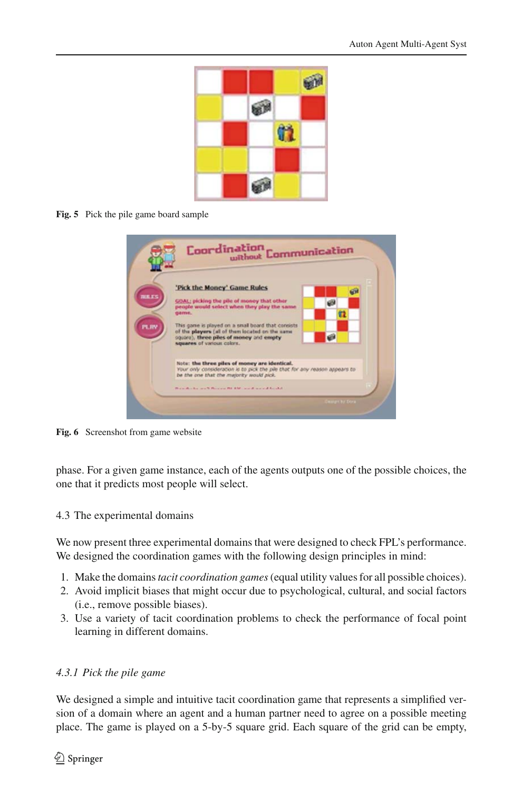

**Fig. 5** Pick the pile game board sample

<span id="page-13-1"></span>

|              | 'Pick the Money' Game Rules                                                                                            |  |
|--------------|------------------------------------------------------------------------------------------------------------------------|--|
| <b>TILES</b> | GOAL: picking the pile of money that other<br>people would select when they play the same                              |  |
|              | game.                                                                                                                  |  |
| PLBV         | This game is played on a small board that consists<br>of the players (all of then located on the same                  |  |
|              | square), three piles of money and empty<br>squares of various colors.                                                  |  |
|              | Note: the three piles of money are identical.                                                                          |  |
|              | Your only consideration is to pick the pile that for any reason aspears to<br>be the one that the majority would pick. |  |
|              | Beautifully and Bureau Bt AM, and would be abl-                                                                        |  |

<span id="page-13-2"></span>**Fig. 6** Screenshot from game website

phase. For a given game instance, each of the agents outputs one of the possible choices, the one that it predicts most people will select.

# <span id="page-13-0"></span>4.3 The experimental domains

We now present three experimental domains that were designed to check FPL's performance. We designed the coordination games with the following design principles in mind:

- 1. Make the domains*tacit coordination games*(equal utility values for all possible choices).
- 2. Avoid implicit biases that might occur due to psychological, cultural, and social factors (i.e., remove possible biases).
- 3. Use a variety of tacit coordination problems to check the performance of focal point learning in different domains.

# <span id="page-13-3"></span>*4.3.1 Pick the pile game*

We designed a simple and intuitive tacit coordination game that represents a simplified version of a domain where an agent and a human partner need to agree on a possible meeting place. The game is played on a 5-by-5 square grid. Each square of the grid can be empty,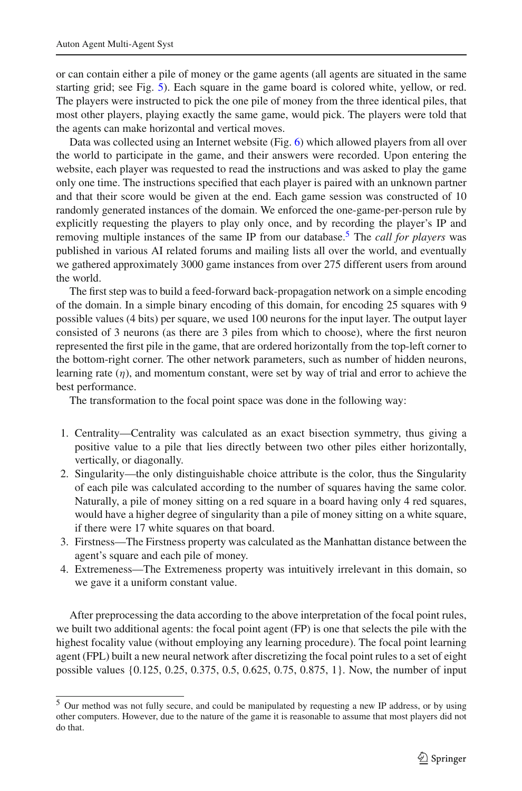or can contain either a pile of money or the game agents (all agents are situated in the same starting grid; see Fig. [5\)](#page-13-1). Each square in the game board is colored white, yellow, or red. The players were instructed to pick the one pile of money from the three identical piles, that most other players, playing exactly the same game, would pick. The players were told that the agents can make horizontal and vertical moves.

Data was collected using an Internet website (Fig. [6\)](#page-13-2) which allowed players from all over the world to participate in the game, and their answers were recorded. Upon entering the website, each player was requested to read the instructions and was asked to play the game only one time. The instructions specified that each player is paired with an unknown partner and that their score would be given at the end. Each game session was constructed of 10 randomly generated instances of the domain. We enforced the one-game-per-person rule by explicitly requesting the players to play only once, and by recording the player's IP and removing multiple instances of the same IP from our database[.5](#page-14-0) The *call for players* was published in various AI related forums and mailing lists all over the world, and eventually we gathered approximately 3000 game instances from over 275 different users from around the world.

The first step was to build a feed-forward back-propagation network on a simple encoding of the domain. In a simple binary encoding of this domain, for encoding 25 squares with 9 possible values (4 bits) per square, we used 100 neurons for the input layer. The output layer consisted of 3 neurons (as there are 3 piles from which to choose), where the first neuron represented the first pile in the game, that are ordered horizontally from the top-left corner to the bottom-right corner. The other network parameters, such as number of hidden neurons, learning rate  $(\eta)$ , and momentum constant, were set by way of trial and error to achieve the best performance.

The transformation to the focal point space was done in the following way:

- 1. Centrality—Centrality was calculated as an exact bisection symmetry, thus giving a positive value to a pile that lies directly between two other piles either horizontally, vertically, or diagonally.
- 2. Singularity—the only distinguishable choice attribute is the color, thus the Singularity of each pile was calculated according to the number of squares having the same color. Naturally, a pile of money sitting on a red square in a board having only 4 red squares, would have a higher degree of singularity than a pile of money sitting on a white square, if there were 17 white squares on that board.
- 3. Firstness—The Firstness property was calculated as the Manhattan distance between the agent's square and each pile of money.
- 4. Extremeness—The Extremeness property was intuitively irrelevant in this domain, so we gave it a uniform constant value.

After preprocessing the data according to the above interpretation of the focal point rules, we built two additional agents: the focal point agent (FP) is one that selects the pile with the highest focality value (without employing any learning procedure). The focal point learning agent (FPL) built a new neural network after discretizing the focal point rules to a set of eight possible values {0.125, 0.25, 0.375, 0.5, 0.625, 0.75, 0.875, 1}. Now, the number of input

<span id="page-14-0"></span><sup>5</sup> Our method was not fully secure, and could be manipulated by requesting a new IP address, or by using other computers. However, due to the nature of the game it is reasonable to assume that most players did not do that.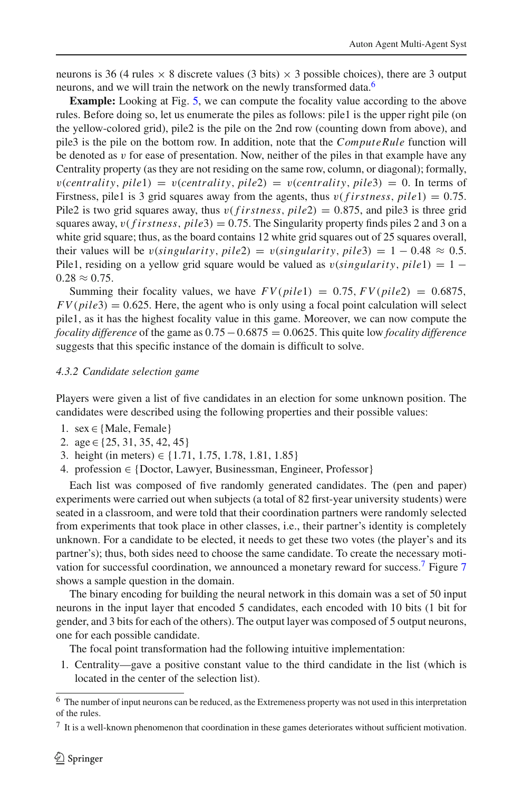neurons is 36 (4 rules  $\times$  8 discrete values (3 bits)  $\times$  3 possible choices), there are 3 output neurons, and we will train the network on the newly transformed data.<sup>6</sup>

**Example:** Looking at Fig. [5,](#page-13-1) we can compute the focality value according to the above rules. Before doing so, let us enumerate the piles as follows: pile1 is the upper right pile (on the yellow-colored grid), pile2 is the pile on the 2nd row (counting down from above), and pile3 is the pile on the bottom row. In addition, note that the *ComputeRule* function will be denoted as  $v$  for ease of presentation. Now, neither of the piles in that example have any Centrality property (as they are not residing on the same row, column, or diagonal); formally,  $v(centrality, pile1) = v(centrality, pile2) = v(centrality, pile3) = 0$ . In terms of Firstness, pile1 is 3 grid squares away from the agents, thus  $v(firstness, pile1) = 0.75$ . Pile2 is two grid squares away, thus  $v(firstness, pile2) = 0.875$ , and pile3 is three grid squares away,  $v(firstness, pile3) = 0.75$ . The Singularity property finds piles 2 and 3 on a white grid square; thus, as the board contains 12 white grid squares out of 25 squares overall, their values will be  $v(singularity, pile2) = v(singularity, pile3) = 1 - 0.48 \approx 0.5$ . Pile1, residing on a yellow grid square would be valued as  $v(singularity, pile1) = 1 0.28 \approx 0.75$ .

Summing their focality values, we have  $FV(pile1) = 0.75$ ,  $FV(pile2) = 0.6875$ ,  $FV$ (*pile*3) = 0.625. Here, the agent who is only using a focal point calculation will select pile1, as it has the highest focality value in this game. Moreover, we can now compute the *focality difference* of the game as 0.75−0.6875 = 0.0625. This quite low *focality difference* suggests that this specific instance of the domain is difficult to solve.

## *4.3.2 Candidate selection game*

Players were given a list of five candidates in an election for some unknown position. The candidates were described using the following properties and their possible values:

- 1. sex∈{Male, Female}
- 2. age∈{25, 31, 35, 42, 45}
- 3. height (in meters) ∈  ${1.71, 1.75, 1.78, 1.81, 1.85}$
- 4. profession ∈ {Doctor, Lawyer, Businessman, Engineer, Professor}

Each list was composed of five randomly generated candidates. The (pen and paper) experiments were carried out when subjects (a total of 82 first-year university students) were seated in a classroom, and were told that their coordination partners were randomly selected from experiments that took place in other classes, i.e., their partner's identity is completely unknown. For a candidate to be elected, it needs to get these two votes (the player's and its partner's); thus, both sides need to choose the same candidate. To create the necessary moti-vation for successful coordination, we announced a monetary reward for success.<sup>[7](#page-16-0)</sup> Figure 7 shows a sample question in the domain.

The binary encoding for building the neural network in this domain was a set of 50 input neurons in the input layer that encoded 5 candidates, each encoded with 10 bits (1 bit for gender, and 3 bits for each of the others). The output layer was composed of 5 output neurons, one for each possible candidate.

The focal point transformation had the following intuitive implementation:

1. Centrality—gave a positive constant value to the third candidate in the list (which is located in the center of the selection list).

<sup>6</sup> The number of input neurons can be reduced, as the Extremeness property was not used in this interpretation of the rules.

<span id="page-15-1"></span><span id="page-15-0"></span><sup>7</sup> It is a well-known phenomenon that coordination in these games deteriorates without sufficient motivation.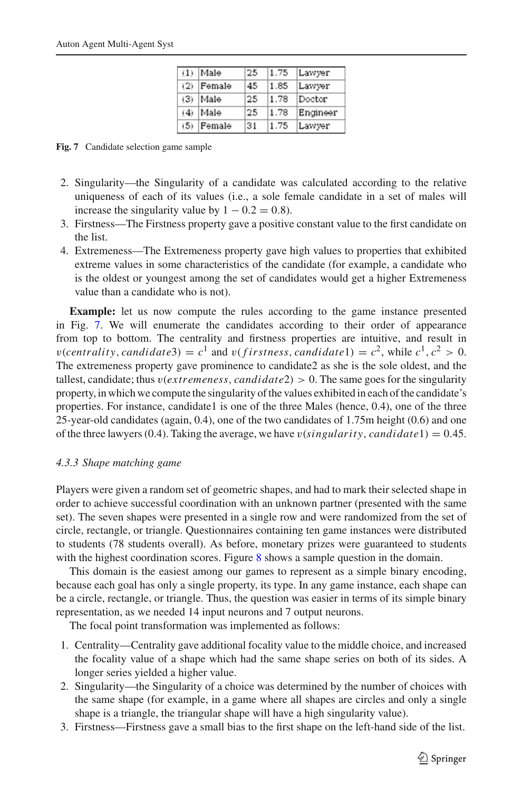| (1) | Male   | 25 | 1.75 | Lawyer   |
|-----|--------|----|------|----------|
| (2) | Female | 45 | 1.85 | Lawyer   |
| (3) | Male   | 25 | 1.78 | Doctor   |
| (4) | Male   | 25 | 1.78 | Engineer |
| (5) | Female | 31 | 1.75 | Lawyer   |

<span id="page-16-0"></span>**Fig. 7** Candidate selection game sample

- 2. Singularity—the Singularity of a candidate was calculated according to the relative uniqueness of each of its values (i.e., a sole female candidate in a set of males will increase the singularity value by  $1 - 0.2 = 0.8$ ).
- 3. Firstness—The Firstness property gave a positive constant value to the first candidate on the list.
- 4. Extremeness—The Extremeness property gave high values to properties that exhibited extreme values in some characteristics of the candidate (for example, a candidate who is the oldest or youngest among the set of candidates would get a higher Extremeness value than a candidate who is not).

**Example:** let us now compute the rules according to the game instance presented in Fig. [7.](#page-16-0) We will enumerate the candidates according to their order of appearance from top to bottom. The centrality and firstness properties are intuitive, and result in  $v(centrality, candidate3) = c<sup>1</sup>$  and  $v(firstness, candidate1) = c<sup>2</sup>$ , while  $c<sup>1</sup>, c<sup>2</sup> > 0$ . The extremeness property gave prominence to candidate2 as she is the sole oldest, and the tallest, candidate; thus v(*extremeness*, *candidate*2) > 0. The same goes for the singularity property, in which we compute the singularity of the values exhibited in each of the candidate's properties. For instance, candidate1 is one of the three Males (hence, 0.4), one of the three 25-year-old candidates (again, 0.4), one of the two candidates of 1.75m height (0.6) and one of the three lawyers  $(0.4)$ . Taking the average, we have  $v(singularity, candidate1) = 0.45$ .

## *4.3.3 Shape matching game*

Players were given a random set of geometric shapes, and had to mark their selected shape in order to achieve successful coordination with an unknown partner (presented with the same set). The seven shapes were presented in a single row and were randomized from the set of circle, rectangle, or triangle. Questionnaires containing ten game instances were distributed to students (78 students overall). As before, monetary prizes were guaranteed to students with the highest coordination scores. Figure [8](#page-17-0) shows a sample question in the domain.

This domain is the easiest among our games to represent as a simple binary encoding, because each goal has only a single property, its type. In any game instance, each shape can be a circle, rectangle, or triangle. Thus, the question was easier in terms of its simple binary representation, as we needed 14 input neurons and 7 output neurons.

The focal point transformation was implemented as follows:

- 1. Centrality—Centrality gave additional focality value to the middle choice, and increased the focality value of a shape which had the same shape series on both of its sides. A longer series yielded a higher value.
- 2. Singularity—the Singularity of a choice was determined by the number of choices with the same shape (for example, in a game where all shapes are circles and only a single shape is a triangle, the triangular shape will have a high singularity value).
- 3. Firstness—Firstness gave a small bias to the first shape on the left-hand side of the list.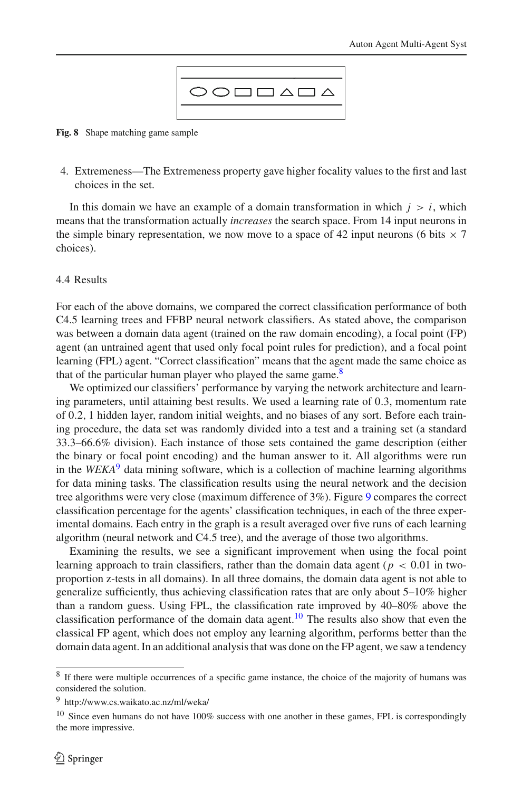

<span id="page-17-0"></span>**Fig. 8** Shape matching game sample

4. Extremeness—The Extremeness property gave higher focality values to the first and last choices in the set.

In this domain we have an example of a domain transformation in which  $j > i$ , which means that the transformation actually *increases* the search space. From 14 input neurons in the simple binary representation, we now move to a space of 42 input neurons (6 bits  $\times$  7) choices).

## 4.4 Results

For each of the above domains, we compared the correct classification performance of both C4.5 learning trees and FFBP neural network classifiers. As stated above, the comparison was between a domain data agent (trained on the raw domain encoding), a focal point (FP) agent (an untrained agent that used only focal point rules for prediction), and a focal point learning (FPL) agent. "Correct classification" means that the agent made the same choice as that of the particular human player who played the same game. $8$ 

We optimized our classifiers' performance by varying the network architecture and learning parameters, until attaining best results. We used a learning rate of 0.3, momentum rate of 0.2, 1 hidden layer, random initial weights, and no biases of any sort. Before each training procedure, the data set was randomly divided into a test and a training set (a standard 33.3–66.6% division). Each instance of those sets contained the game description (either the binary or focal point encoding) and the human answer to it. All algorithms were run in the *WEKA*<sup>[9](#page-17-2)</sup> data mining software, which is a collection of machine learning algorithms for data mining tasks. The classification results using the neural network and the decision tree algorithms were very close (maximum difference of 3%). Figure [9](#page-18-0) compares the correct classification percentage for the agents' classification techniques, in each of the three experimental domains. Each entry in the graph is a result averaged over five runs of each learning algorithm (neural network and C4.5 tree), and the average of those two algorithms.

Examining the results, we see a significant improvement when using the focal point learning approach to train classifiers, rather than the domain data agent ( $p < 0.01$  in twoproportion z-tests in all domains). In all three domains, the domain data agent is not able to generalize sufficiently, thus achieving classification rates that are only about 5–10% higher than a random guess. Using FPL, the classification rate improved by 40–80% above the classification performance of the domain data agent.<sup>10</sup> The results also show that even the classical FP agent, which does not employ any learning algorithm, performs better than the domain data agent. In an additional analysis that was done on the FP agent, we saw a tendency

<sup>&</sup>lt;sup>8</sup> If there were multiple occurrences of a specific game instance, the choice of the majority of humans was considered the solution.

<span id="page-17-1"></span><sup>9</sup> http://www.cs.waikato.ac.nz/ml/weka/

<span id="page-17-3"></span><span id="page-17-2"></span><sup>&</sup>lt;sup>10</sup> Since even humans do not have 100% success with one another in these games, FPL is correspondingly the more impressive.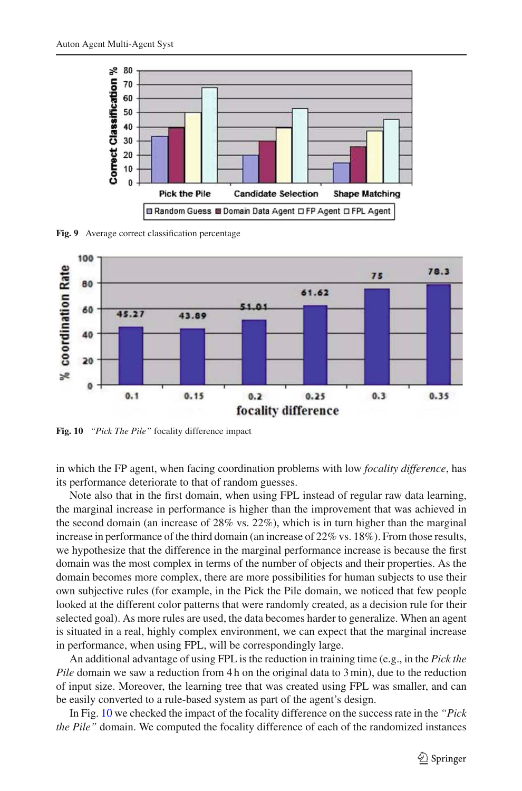

**Fig. 9** Average correct classification percentage

<span id="page-18-0"></span>

<span id="page-18-1"></span>**Fig. 10** *"Pick The Pile"* focality difference impact

in which the FP agent, when facing coordination problems with low *focality difference*, has its performance deteriorate to that of random guesses.

Note also that in the first domain, when using FPL instead of regular raw data learning, the marginal increase in performance is higher than the improvement that was achieved in the second domain (an increase of  $28\%$  vs.  $22\%$ ), which is in turn higher than the marginal increase in performance of the third domain (an increase of 22% vs. 18%). From those results, we hypothesize that the difference in the marginal performance increase is because the first domain was the most complex in terms of the number of objects and their properties. As the domain becomes more complex, there are more possibilities for human subjects to use their own subjective rules (for example, in the Pick the Pile domain, we noticed that few people looked at the different color patterns that were randomly created, as a decision rule for their selected goal). As more rules are used, the data becomes harder to generalize. When an agent is situated in a real, highly complex environment, we can expect that the marginal increase in performance, when using FPL, will be correspondingly large.

An additional advantage of using FPL is the reduction in training time (e.g., in the *Pick the Pile* domain we saw a reduction from 4 h on the original data to 3 min), due to the reduction of input size. Moreover, the learning tree that was created using FPL was smaller, and can be easily converted to a rule-based system as part of the agent's design.

In Fig. [10](#page-18-1) we checked the impact of the focality difference on the success rate in the *"Pick the Pile"* domain. We computed the focality difference of each of the randomized instances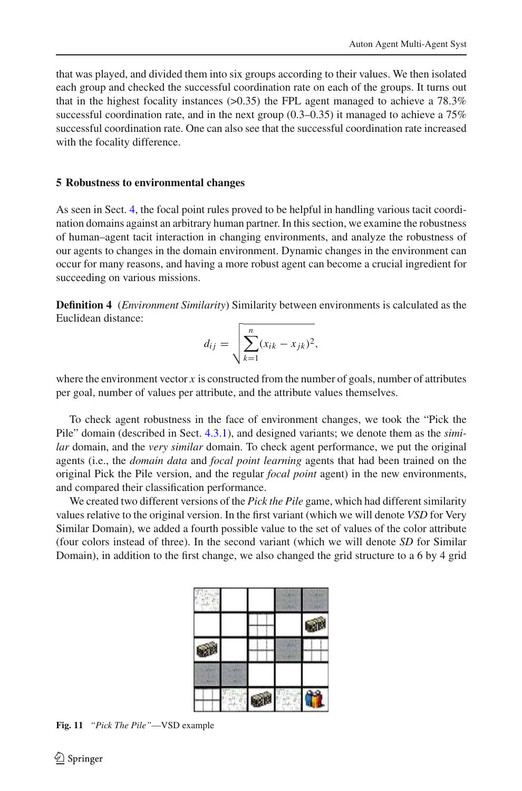that was played, and divided them into six groups according to their values. We then isolated each group and checked the successful coordination rate on each of the groups. It turns out that in the highest focality instances  $(>0.35)$  the FPL agent managed to achieve a 78.3% successful coordination rate, and in the next group  $(0.3-0.35)$  it managed to achieve a 75% successful coordination rate. One can also see that the successful coordination rate increased with the focality difference.

# <span id="page-19-0"></span>**5 Robustness to environmental changes**

As seen in Sect. [4,](#page-9-0) the focal point rules proved to be helpful in handling various tacit coordination domains against an arbitrary human partner. In this section, we examine the robustness of human–agent tacit interaction in changing environments, and analyze the robustness of our agents to changes in the domain environment. Dynamic changes in the environment can occur for many reasons, and having a more robust agent can become a crucial ingredient for succeeding on various missions.

**Definition 4** (*Environment Similarity*) Similarity between environments is calculated as the Euclidean distance:

$$
d_{ij} = \sqrt{\sum_{k=1}^{n} (x_{ik} - x_{jk})^2},
$$

where the environment vector  $x$  is constructed from the number of goals, number of attributes per goal, number of values per attribute, and the attribute values themselves.

To check agent robustness in the face of environment changes, we took the "Pick the Pile" domain (described in Sect. [4.3.1\)](#page-13-3), and designed variants; we denote them as the *similar* domain, and the *very similar* domain. To check agent performance, we put the original agents (i.e., the *domain data* and *focal point learning* agents that had been trained on the original Pick the Pile version, and the regular *focal point* agent) in the new environments, and compared their classification performance.

We created two different versions of the *Pick the Pile* game, which had different similarity values relative to the original version. In the first variant (which we will denote *VSD* for Very Similar Domain), we added a fourth possible value to the set of values of the color attribute (four colors instead of three). In the second variant (which we will denote *SD* for Similar Domain), in addition to the first change, we also changed the grid structure to a 6 by 4 grid

|     |    | 國路 |
|-----|----|----|
| ede |    |    |
|     |    |    |
|     | 國民 |    |

<span id="page-19-1"></span>**Fig. 11** *"Pick The Pile"*—VSD example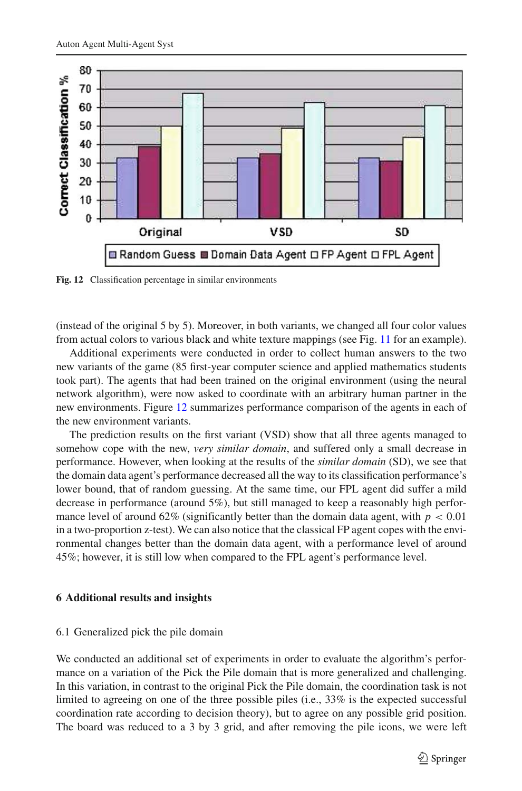

<span id="page-20-1"></span>**Fig. 12** Classification percentage in similar environments

(instead of the original 5 by 5). Moreover, in both variants, we changed all four color values from actual colors to various black and white texture mappings (see Fig. [11](#page-19-1) for an example).

Additional experiments were conducted in order to collect human answers to the two new variants of the game (85 first-year computer science and applied mathematics students took part). The agents that had been trained on the original environment (using the neural network algorithm), were now asked to coordinate with an arbitrary human partner in the new environments. Figure [12](#page-20-1) summarizes performance comparison of the agents in each of the new environment variants.

The prediction results on the first variant (VSD) show that all three agents managed to somehow cope with the new, *very similar domain*, and suffered only a small decrease in performance. However, when looking at the results of the *similar domain* (SD), we see that the domain data agent's performance decreased all the way to its classification performance's lower bound, that of random guessing. At the same time, our FPL agent did suffer a mild decrease in performance (around 5%), but still managed to keep a reasonably high performance level of around  $62\%$  (significantly better than the domain data agent, with  $p < 0.01$ in a two-proportion z-test). We can also notice that the classical FP agent copes with the environmental changes better than the domain data agent, with a performance level of around 45%; however, it is still low when compared to the FPL agent's performance level.

## <span id="page-20-0"></span>**6 Additional results and insights**

## 6.1 Generalized pick the pile domain

We conducted an additional set of experiments in order to evaluate the algorithm's performance on a variation of the Pick the Pile domain that is more generalized and challenging. In this variation, in contrast to the original Pick the Pile domain, the coordination task is not limited to agreeing on one of the three possible piles (i.e., 33% is the expected successful coordination rate according to decision theory), but to agree on any possible grid position. The board was reduced to a 3 by 3 grid, and after removing the pile icons, we were left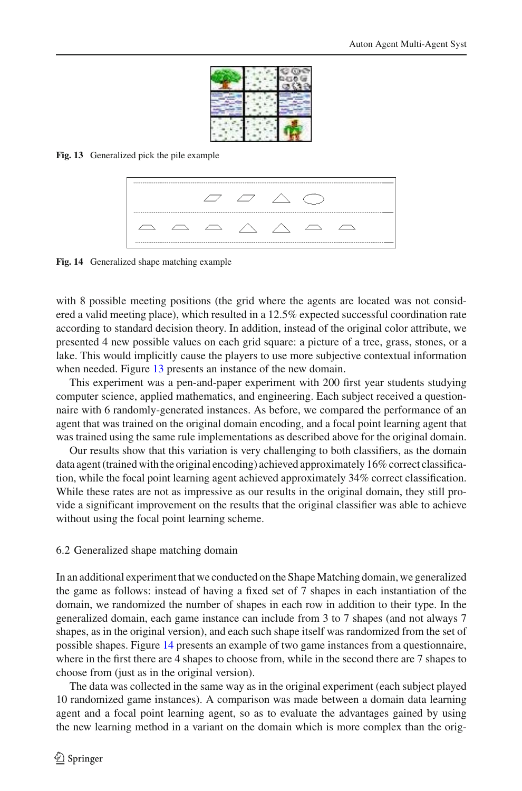

<span id="page-21-0"></span>**Fig. 13** Generalized pick the pile example



<span id="page-21-1"></span>**Fig. 14** Generalized shape matching example

with 8 possible meeting positions (the grid where the agents are located was not considered a valid meeting place), which resulted in a 12.5% expected successful coordination rate according to standard decision theory. In addition, instead of the original color attribute, we presented 4 new possible values on each grid square: a picture of a tree, grass, stones, or a lake. This would implicitly cause the players to use more subjective contextual information when needed. Figure [13](#page-21-0) presents an instance of the new domain.

This experiment was a pen-and-paper experiment with 200 first year students studying computer science, applied mathematics, and engineering. Each subject received a questionnaire with 6 randomly-generated instances. As before, we compared the performance of an agent that was trained on the original domain encoding, and a focal point learning agent that was trained using the same rule implementations as described above for the original domain.

Our results show that this variation is very challenging to both classifiers, as the domain data agent (trained with the original encoding) achieved approximately 16% correct classification, while the focal point learning agent achieved approximately 34% correct classification. While these rates are not as impressive as our results in the original domain, they still provide a significant improvement on the results that the original classifier was able to achieve without using the focal point learning scheme.

## 6.2 Generalized shape matching domain

In an additional experiment that we conducted on the Shape Matching domain, we generalized the game as follows: instead of having a fixed set of 7 shapes in each instantiation of the domain, we randomized the number of shapes in each row in addition to their type. In the generalized domain, each game instance can include from 3 to 7 shapes (and not always 7 shapes, as in the original version), and each such shape itself was randomized from the set of possible shapes. Figure [14](#page-21-1) presents an example of two game instances from a questionnaire, where in the first there are 4 shapes to choose from, while in the second there are 7 shapes to choose from (just as in the original version).

The data was collected in the same way as in the original experiment (each subject played 10 randomized game instances). A comparison was made between a domain data learning agent and a focal point learning agent, so as to evaluate the advantages gained by using the new learning method in a variant on the domain which is more complex than the orig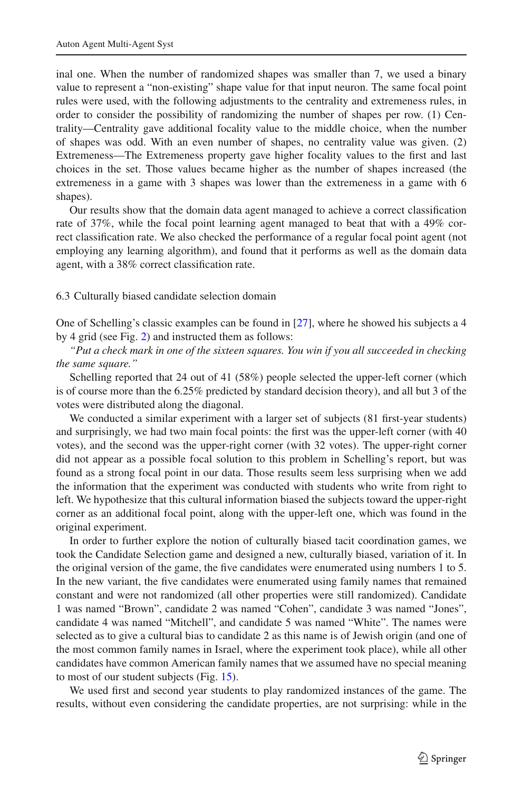inal one. When the number of randomized shapes was smaller than 7, we used a binary value to represent a "non-existing" shape value for that input neuron. The same focal point rules were used, with the following adjustments to the centrality and extremeness rules, in order to consider the possibility of randomizing the number of shapes per row. (1) Centrality—Centrality gave additional focality value to the middle choice, when the number of shapes was odd. With an even number of shapes, no centrality value was given. (2) Extremeness—The Extremeness property gave higher focality values to the first and last choices in the set. Those values became higher as the number of shapes increased (the extremeness in a game with 3 shapes was lower than the extremeness in a game with 6 shapes).

Our results show that the domain data agent managed to achieve a correct classification rate of 37%, while the focal point learning agent managed to beat that with a 49% correct classification rate. We also checked the performance of a regular focal point agent (not employing any learning algorithm), and found that it performs as well as the domain data agent, with a 38% correct classification rate.

## 6.3 Culturally biased candidate selection domain

One of Schelling's classic examples can be found in [\[27](#page-26-4)], where he showed his subjects a 4 by 4 grid (see Fig. [2\)](#page-4-0) and instructed them as follows:

*"Put a check mark in one of the sixteen squares. You win if you all succeeded in checking the same square."*

Schelling reported that 24 out of 41 (58%) people selected the upper-left corner (which is of course more than the 6.25% predicted by standard decision theory), and all but 3 of the votes were distributed along the diagonal.

We conducted a similar experiment with a larger set of subjects  $(81$  first-year students) and surprisingly, we had two main focal points: the first was the upper-left corner (with 40 votes), and the second was the upper-right corner (with 32 votes). The upper-right corner did not appear as a possible focal solution to this problem in Schelling's report, but was found as a strong focal point in our data. Those results seem less surprising when we add the information that the experiment was conducted with students who write from right to left. We hypothesize that this cultural information biased the subjects toward the upper-right corner as an additional focal point, along with the upper-left one, which was found in the original experiment.

In order to further explore the notion of culturally biased tacit coordination games, we took the Candidate Selection game and designed a new, culturally biased, variation of it. In the original version of the game, the five candidates were enumerated using numbers 1 to 5. In the new variant, the five candidates were enumerated using family names that remained constant and were not randomized (all other properties were still randomized). Candidate 1 was named "Brown", candidate 2 was named "Cohen", candidate 3 was named "Jones", candidate 4 was named "Mitchell", and candidate 5 was named "White". The names were selected as to give a cultural bias to candidate 2 as this name is of Jewish origin (and one of the most common family names in Israel, where the experiment took place), while all other candidates have common American family names that we assumed have no special meaning to most of our student subjects (Fig. [15\)](#page-23-0).

We used first and second year students to play randomized instances of the game. The results, without even considering the candidate properties, are not surprising: while in the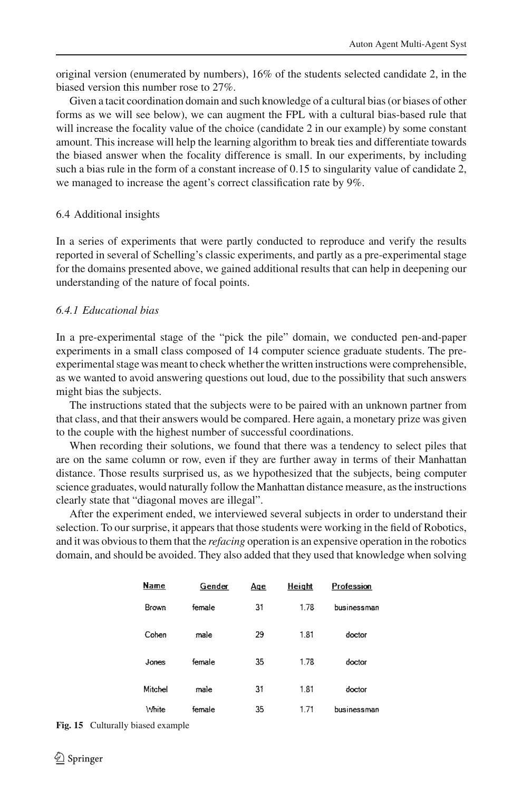original version (enumerated by numbers), 16% of the students selected candidate 2, in the biased version this number rose to 27%.

Given a tacit coordination domain and such knowledge of a cultural bias (or biases of other forms as we will see below), we can augment the FPL with a cultural bias-based rule that will increase the focality value of the choice (candidate 2 in our example) by some constant amount. This increase will help the learning algorithm to break ties and differentiate towards the biased answer when the focality difference is small. In our experiments, by including such a bias rule in the form of a constant increase of 0.15 to singularity value of candidate 2, we managed to increase the agent's correct classification rate by 9%.

# 6.4 Additional insights

In a series of experiments that were partly conducted to reproduce and verify the results reported in several of Schelling's classic experiments, and partly as a pre-experimental stage for the domains presented above, we gained additional results that can help in deepening our understanding of the nature of focal points.

# *6.4.1 Educational bias*

In a pre-experimental stage of the "pick the pile" domain, we conducted pen-and-paper experiments in a small class composed of 14 computer science graduate students. The preexperimental stage was meant to check whether the written instructions were comprehensible, as we wanted to avoid answering questions out loud, due to the possibility that such answers might bias the subjects.

The instructions stated that the subjects were to be paired with an unknown partner from that class, and that their answers would be compared. Here again, a monetary prize was given to the couple with the highest number of successful coordinations.

When recording their solutions, we found that there was a tendency to select piles that are on the same column or row, even if they are further away in terms of their Manhattan distance. Those results surprised us, as we hypothesized that the subjects, being computer science graduates, would naturally follow the Manhattan distance measure, as the instructions clearly state that "diagonal moves are illegal".

After the experiment ended, we interviewed several subjects in order to understand their selection. To our surprise, it appears that those students were working in the field of Robotics, and it was obvious to them that the *refacing* operation is an expensive operation in the robotics domain, and should be avoided. They also added that they used that knowledge when solving

| Name        | Gender | Age | Height | Profession  |
|-------------|--------|-----|--------|-------------|
| Brown       | female | 31  | 1.78   | businessman |
| Cohen       | male   | 29  | 1.81   | doctor      |
| Jones       | female | 35  | 1.78   | doctor      |
| Mitchel     | male   | 31  | 1.81   | doctor      |
| <b>Mate</b> | female | 35  | 1.71   | businessman |

<span id="page-23-0"></span>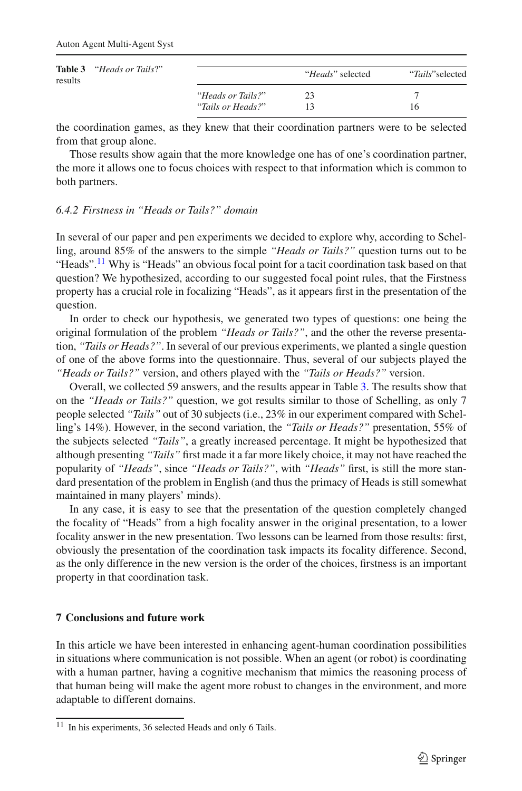<span id="page-24-2"></span>

| results | <b>Table 3</b> "Heads or Tails?" |                   | <i>"Heads</i> " selected | "Tails" selected |
|---------|----------------------------------|-------------------|--------------------------|------------------|
|         |                                  | "Heads or Tails?" | 23                       |                  |
|         |                                  | "Tails or Heads?" | 13                       | Iб               |

the coordination games, as they knew that their coordination partners were to be selected from that group alone.

Those results show again that the more knowledge one has of one's coordination partner, the more it allows one to focus choices with respect to that information which is common to both partners.

## *6.4.2 Firstness in "Heads or Tails?" domain*

In several of our paper and pen experiments we decided to explore why, according to Schelling, around 85% of the answers to the simple *"Heads or Tails?"* question turns out to be "Heads".<sup>[11](#page-24-1)</sup> Why is "Heads" an obvious focal point for a tacit coordination task based on that question? We hypothesized, according to our suggested focal point rules, that the Firstness property has a crucial role in focalizing "Heads", as it appears first in the presentation of the question.

In order to check our hypothesis, we generated two types of questions: one being the original formulation of the problem *"Heads or Tails?"*, and the other the reverse presentation, *"Tails or Heads?"*. In several of our previous experiments, we planted a single question of one of the above forms into the questionnaire. Thus, several of our subjects played the *"Heads or Tails?"* version, and others played with the *"Tails or Heads?"* version.

Overall, we collected 59 answers, and the results appear in Table [3.](#page-24-2) The results show that on the *"Heads or Tails?"* question, we got results similar to those of Schelling, as only 7 people selected *"Tails"* out of 30 subjects (i.e., 23% in our experiment compared with Schelling's 14%). However, in the second variation, the *"Tails or Heads?"* presentation, 55% of the subjects selected *"Tails"*, a greatly increased percentage. It might be hypothesized that although presenting *"Tails"* first made it a far more likely choice, it may not have reached the popularity of *"Heads"*, since *"Heads or Tails?"*, with *"Heads"* first, is still the more standard presentation of the problem in English (and thus the primacy of Heads is still somewhat maintained in many players' minds).

In any case, it is easy to see that the presentation of the question completely changed the focality of "Heads" from a high focality answer in the original presentation, to a lower focality answer in the new presentation. Two lessons can be learned from those results: first, obviously the presentation of the coordination task impacts its focality difference. Second, as the only difference in the new version is the order of the choices, firstness is an important property in that coordination task.

## <span id="page-24-0"></span>**7 Conclusions and future work**

In this article we have been interested in enhancing agent-human coordination possibilities in situations where communication is not possible. When an agent (or robot) is coordinating with a human partner, having a cognitive mechanism that mimics the reasoning process of that human being will make the agent more robust to changes in the environment, and more adaptable to different domains.

<span id="page-24-1"></span><sup>11</sup> In his experiments, 36 selected Heads and only 6 Tails.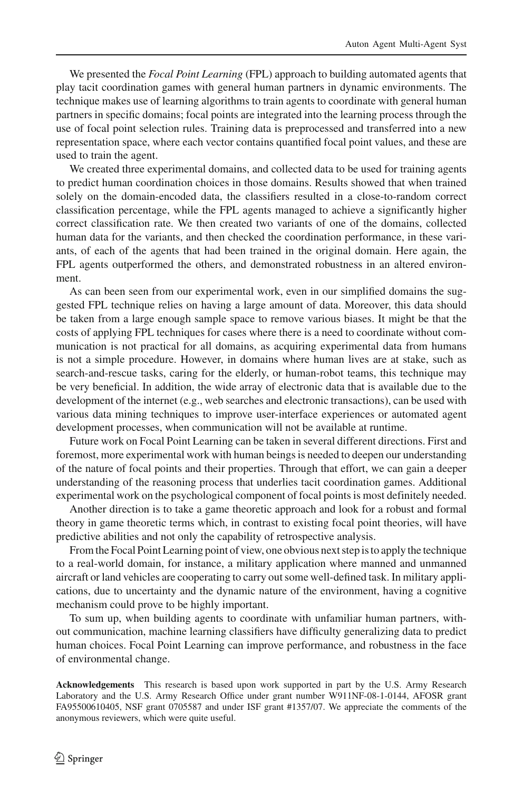We presented the *Focal Point Learning* (FPL) approach to building automated agents that play tacit coordination games with general human partners in dynamic environments. The technique makes use of learning algorithms to train agents to coordinate with general human partners in specific domains; focal points are integrated into the learning process through the use of focal point selection rules. Training data is preprocessed and transferred into a new representation space, where each vector contains quantified focal point values, and these are used to train the agent.

We created three experimental domains, and collected data to be used for training agents to predict human coordination choices in those domains. Results showed that when trained solely on the domain-encoded data, the classifiers resulted in a close-to-random correct classification percentage, while the FPL agents managed to achieve a significantly higher correct classification rate. We then created two variants of one of the domains, collected human data for the variants, and then checked the coordination performance, in these variants, of each of the agents that had been trained in the original domain. Here again, the FPL agents outperformed the others, and demonstrated robustness in an altered environment.

As can been seen from our experimental work, even in our simplified domains the suggested FPL technique relies on having a large amount of data. Moreover, this data should be taken from a large enough sample space to remove various biases. It might be that the costs of applying FPL techniques for cases where there is a need to coordinate without communication is not practical for all domains, as acquiring experimental data from humans is not a simple procedure. However, in domains where human lives are at stake, such as search-and-rescue tasks, caring for the elderly, or human-robot teams, this technique may be very beneficial. In addition, the wide array of electronic data that is available due to the development of the internet (e.g., web searches and electronic transactions), can be used with various data mining techniques to improve user-interface experiences or automated agent development processes, when communication will not be available at runtime.

Future work on Focal Point Learning can be taken in several different directions. First and foremost, more experimental work with human beings is needed to deepen our understanding of the nature of focal points and their properties. Through that effort, we can gain a deeper understanding of the reasoning process that underlies tacit coordination games. Additional experimental work on the psychological component of focal points is most definitely needed.

Another direction is to take a game theoretic approach and look for a robust and formal theory in game theoretic terms which, in contrast to existing focal point theories, will have predictive abilities and not only the capability of retrospective analysis.

From the Focal Point Learning point of view, one obvious next step is to apply the technique to a real-world domain, for instance, a military application where manned and unmanned aircraft or land vehicles are cooperating to carry out some well-defined task. In military applications, due to uncertainty and the dynamic nature of the environment, having a cognitive mechanism could prove to be highly important.

To sum up, when building agents to coordinate with unfamiliar human partners, without communication, machine learning classifiers have difficulty generalizing data to predict human choices. Focal Point Learning can improve performance, and robustness in the face of environmental change.

**Acknowledgements** This research is based upon work supported in part by the U.S. Army Research Laboratory and the U.S. Army Research Office under grant number W911NF-08-1-0144, AFOSR grant FA95500610405, NSF grant 0705587 and under ISF grant #1357/07. We appreciate the comments of the anonymous reviewers, which were quite useful.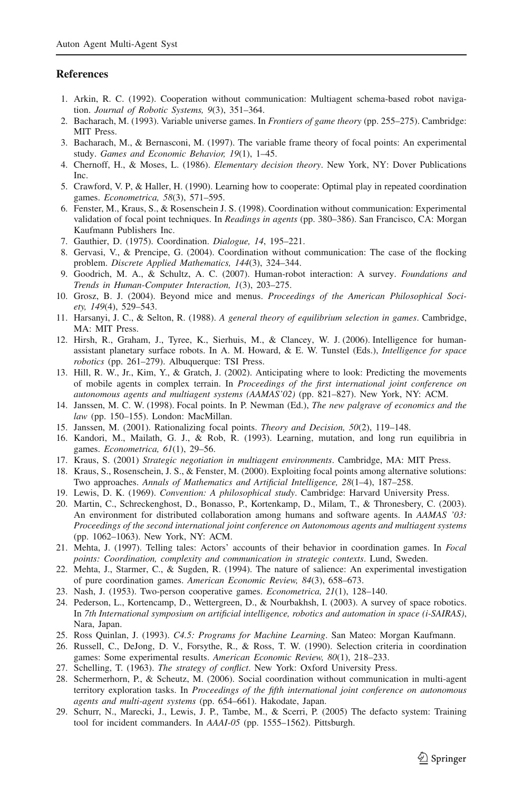#### <span id="page-26-2"></span>**References**

- 1. Arkin, R. C. (1992). Cooperation without communication: Multiagent schema-based robot navigation. *Journal of Robotic Systems, 9*(3), 351–364.
- <span id="page-26-18"></span>2. Bacharach, M. (1993). Variable universe games. In *Frontiers of game theory* (pp. 255–275). Cambridge: MIT Press.
- <span id="page-26-19"></span>3. Bacharach, M., & Bernasconi, M. (1997). The variable frame theory of focal points: An experimental study. *Games and Economic Behavior, 19*(1), 1–45.
- <span id="page-26-5"></span>4. Chernoff, H., & Moses, L. (1986). *Elementary decision theory*. New York, NY: Dover Publications Inc.
- <span id="page-26-16"></span>5. Crawford, V. P, & Haller, H. (1990). Learning how to cooperate: Optimal play in repeated coordination games. *Econometrica, 58*(3), 571–595.
- <span id="page-26-25"></span>6. Fenster, M., Kraus, S., & Rosenschein J. S. (1998). Coordination without communication: Experimental validation of focal point techniques. In *Readings in agents* (pp. 380–386). San Francisco, CA: Morgan Kaufmann Publishers Inc.
- <span id="page-26-17"></span>7. Gauthier, D. (1975). Coordination. *Dialogue, 14*, 195–221.
- <span id="page-26-1"></span>8. Gervasi, V., & Prencipe, G. (2004). Coordination without communication: The case of the flocking problem. *Discrete Applied Mathematics, 144*(3), 324–344.
- 9. Goodrich, M. A., & Schultz, A. C. (2007). Human-robot interaction: A survey. *Foundations and Trends in Human-Computer Interaction, 1*(3), 203–275.
- <span id="page-26-10"></span><span id="page-26-6"></span>10. Grosz, B. J. (2004). Beyond mice and menus. *Proceedings of the American Philosophical Society, 149*(4), 529–543.
- <span id="page-26-13"></span>11. Harsanyi, J. C., & Selton, R. (1988). *A general theory of equilibrium selection in games*. Cambridge, MA: MIT Press.
- <span id="page-26-11"></span>12. Hirsh, R., Graham, J., Tyree, K., Sierhuis, M., & Clancey, W. J. (2006). Intelligence for humanassistant planetary surface robots. In A. M. Howard, & E. W. Tunstel (Eds.), *Intelligence for space robotics* (pp. 261–279). Albuquerque: TSI Press.
- <span id="page-26-12"></span>13. Hill, R. W., Jr., Kim, Y., & Gratch, J. (2002). Anticipating where to look: Predicting the movements of mobile agents in complex terrain. In *Proceedings of the first international joint conference on autonomous agents and multiagent systems (AAMAS'02)* (pp. 821–827). New York, NY: ACM.
- <span id="page-26-27"></span>14. Janssen, M. C. W. (1998). Focal points. In P. Newman (Ed.), *The new palgrave of economics and the law* (pp. 150–155). London: MacMillan.
- <span id="page-26-20"></span>15. Janssen, M. (2001). Rationalizing focal points. *Theory and Decision, 50*(2), 119–148.
- <span id="page-26-15"></span>16. Kandori, M., Mailath, G. J., & Rob, R. (1993). Learning, mutation, and long run equilibria in games. *Econometrica, 61*(1), 29–56.
- <span id="page-26-0"></span>17. Kraus, S. (2001) *Strategic negotiation in multiagent environments*. Cambridge, MA: MIT Press.
- <span id="page-26-26"></span>18. Kraus, S., Rosenschein, J. S., & Fenster, M. (2000). Exploiting focal points among alternative solutions: Two approaches. *Annals of Mathematics and Artificial Intelligence, 28*(1–4), 187–258.
- <span id="page-26-21"></span>19. Lewis, D. K. (1969). *Convention: A philosophical study*. Cambridge: Harvard University Press.
- <span id="page-26-8"></span>20. Martin, C., Schreckenghost, D., Bonasso, P., Kortenkamp, D., Milam, T., & Thronesbery, C. (2003). An environment for distributed collaboration among humans and software agents. In *AAMAS '03: Proceedings of the second international joint conference on Autonomous agents and multiagent systems* (pp. 1062–1063). New York, NY: ACM.
- <span id="page-26-23"></span>21. Mehta, J. (1997). Telling tales: Actors' accounts of their behavior in coordination games. In *Focal points: Coordination, complexity and communication in strategic contexts*. Lund, Sweden.
- <span id="page-26-22"></span>22. Mehta, J., Starmer, C., & Sugden, R. (1994). The nature of salience: An experimental investigation of pure coordination games. *American Economic Review, 84*(3), 658–673.
- <span id="page-26-14"></span>23. Nash, J. (1953). Two-person cooperative games. *Econometrica, 21*(1), 128–140.
- <span id="page-26-9"></span>24. Pederson, L., Kortencamp, D., Wettergreen, D., & Nourbakhsh, I. (2003). A survey of space robotics. In *7th International symposium on artificial intelligence, robotics and automation in space (i-SAIRAS)*, Nara, Japan.
- <span id="page-26-28"></span>25. Ross Quinlan, J. (1993). *C4.5: Programs for Machine Learning*. San Mateo: Morgan Kaufmann.
- <span id="page-26-24"></span>26. Russell, C., DeJong, D. V., Forsythe, R., & Ross, T. W. (1990). Selection criteria in coordination games: Some experimental results. *American Economic Review, 80*(1), 218–233.
- <span id="page-26-4"></span>27. Schelling, T. (1963). *The strategy of conflict*. New York: Oxford University Press.
- <span id="page-26-3"></span>28. Schermerhorn, P., & Scheutz, M. (2006). Social coordination without communication in multi-agent territory exploration tasks. In *Proceedings of the fifth international joint conference on autonomous agents and multi-agent systems* (pp. 654–661). Hakodate, Japan.
- <span id="page-26-7"></span>29. Schurr, N., Marecki, J., Lewis, J. P., Tambe, M., & Scerri, P. (2005) The defacto system: Training tool for incident commanders. In *AAAI-05* (pp. 1555–1562). Pittsburgh.